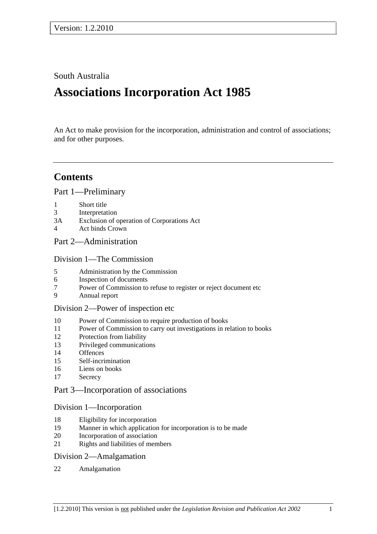## South Australia

# **Associations Incorporation Act 1985**

An Act to make provision for the incorporation, administration and control of associations; and for other purposes.

## **Contents**

Part 1—Preliminary

- 1 Short title
- 3 Interpretation
- 3A Exclusion of operation of Corporations Act
- 4 Act binds Crown

## Part 2—Administration

Division 1—The Commission

- 5 Administration by the Commission
- 6 Inspection of documents
- 7 Power of Commission to refuse to register or reject document etc
- 9 Annual report

#### Division 2—Power of inspection etc

- 10 Power of Commission to require production of books
- 11 Power of Commission to carry out investigations in relation to books
- 12 Protection from liability
- 13 Privileged communications
- 14 Offences
- 15 Self-incrimination
- 16 Liens on books
- 17 Secrecy

#### Part 3—Incorporation of associations

#### Division 1—Incorporation

- 18 Eligibility for incorporation
- 19 Manner in which application for incorporation is to be made
- 20 Incorporation of association
- 21 Rights and liabilities of members

#### Division 2—Amalgamation

22 Amalgamation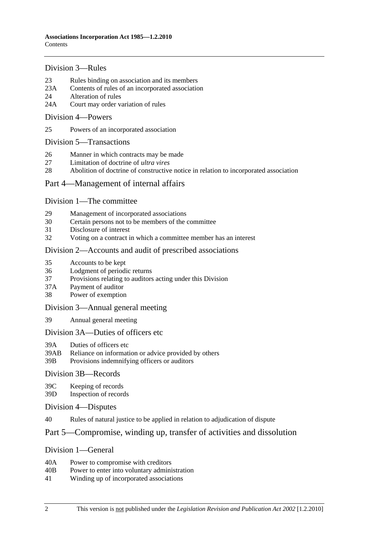#### Division 3—Rules

- 23 Rules binding on association and its members
- 23A Contents of rules of an incorporated association
- 24 Alteration of rules
- 24A Court may order variation of rules

#### Division 4—Powers

25 Powers of an incorporated association

#### Division 5—Transactions

- 26 Manner in which contracts may be made
- 27 Limitation of doctrine of *ultra vires*
- 28 Abolition of doctrine of constructive notice in relation to incorporated association

### Part 4—Management of internal affairs

#### Division 1—The committee

- 29 Management of incorporated associations
- 30 Certain persons not to be members of the committee
- 31 Disclosure of interest
- 32 Voting on a contract in which a committee member has an interest

#### Division 2—Accounts and audit of prescribed associations

- 35 Accounts to be kept
- 36 Lodgment of periodic returns
- 37 Provisions relating to auditors acting under this Division
- 37A Payment of auditor
- 38 Power of exemption

#### Division 3—Annual general meeting

39 Annual general meeting

#### Division 3A—Duties of officers etc

- 39A Duties of officers etc
- 39AB Reliance on information or advice provided by others
- 39B Provisions indemnifying officers or auditors

#### Division 3B—Records

39C Keeping of records

39D Inspection of records

- Division 4—Disputes
- 40 Rules of natural justice to be applied in relation to adjudication of dispute

## Part 5—Compromise, winding up, transfer of activities and dissolution

#### Division 1—General

- 40A Power to compromise with creditors
- 40B Power to enter into voluntary administration
- 41 Winding up of incorporated associations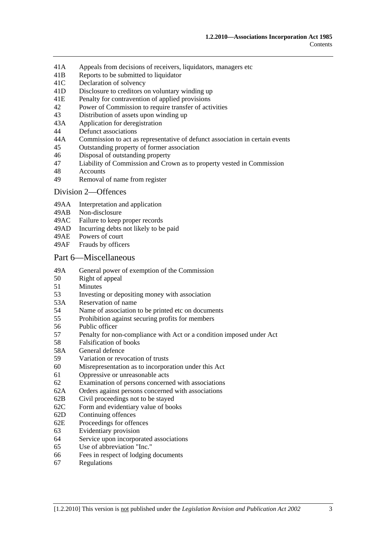- 41A Appeals from decisions of receivers, liquidators, managers etc
- 41B Reports to be submitted to liquidator
- 41C Declaration of solvency
- 41D Disclosure to creditors on voluntary winding up
- 41E Penalty for contravention of applied provisions
- 42 Power of Commission to require transfer of activities
- 43 Distribution of assets upon winding up
- 43A Application for deregistration
- 44 Defunct associations
- 44A Commission to act as representative of defunct association in certain events
- 45 Outstanding property of former association
- 46 Disposal of outstanding property
- 47 Liability of Commission and Crown as to property vested in Commission
- 48 Accounts
- 49 Removal of name from register

#### Division 2—Offences

- 49AA Interpretation and application
- 49AB Non-disclosure
- 49AC Failure to keep proper records
- 49AD Incurring debts not likely to be paid
- 49AE Powers of court
- 49AF Frauds by officers

#### Part 6—Miscellaneous

- 49A General power of exemption of the Commission
- 50 Right of appeal
- 51 Minutes
- 53 Investing or depositing money with association
- 53A Reservation of name
- 54 Name of association to be printed etc on documents
- 55 Prohibition against securing profits for members
- 56 Public officer
- 57 Penalty for non-compliance with Act or a condition imposed under Act
- 58 Falsification of books
- 58A General defence
- 59 Variation or revocation of trusts
- 60 Misrepresentation as to incorporation under this Act
- 61 Oppressive or unreasonable acts
- 62 Examination of persons concerned with associations
- 62A Orders against persons concerned with associations
- 62B Civil proceedings not to be stayed
- 62C Form and evidentiary value of books
- 62D Continuing offences
- 62E Proceedings for offences
- 63 Evidentiary provision
- 64 Service upon incorporated associations
- 65 Use of abbreviation "Inc."
- 66 Fees in respect of lodging documents
- 67 Regulations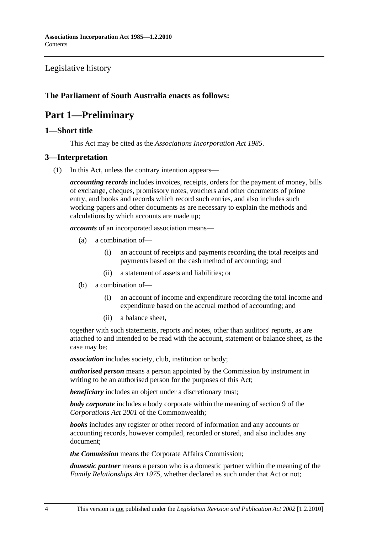## Legislative history

## **The Parliament of South Australia enacts as follows:**

## **Part 1—Preliminary**

## **1—Short title**

This Act may be cited as the *Associations Incorporation Act 1985*.

## **3—Interpretation**

(1) In this Act, unless the contrary intention appears—

*accounting records* includes invoices, receipts, orders for the payment of money, bills of exchange, cheques, promissory notes, vouchers and other documents of prime entry, and books and records which record such entries, and also includes such working papers and other documents as are necessary to explain the methods and calculations by which accounts are made up;

*accounts* of an incorporated association means—

- (a) a combination of—
	- (i) an account of receipts and payments recording the total receipts and payments based on the cash method of accounting; and
	- (ii) a statement of assets and liabilities; or
- (b) a combination of—
	- (i) an account of income and expenditure recording the total income and expenditure based on the accrual method of accounting; and
	- (ii) a balance sheet,

together with such statements, reports and notes, other than auditors' reports, as are attached to and intended to be read with the account, statement or balance sheet, as the case may be;

*association* includes society, club, institution or body;

*authorised person* means a person appointed by the Commission by instrument in writing to be an authorised person for the purposes of this Act;

*beneficiary* includes an object under a discretionary trust;

*body corporate* includes a body corporate within the meaning of section 9 of the *Corporations Act 2001* of the Commonwealth;

*books* includes any register or other record of information and any accounts or accounting records, however compiled, recorded or stored, and also includes any document;

*the Commission* means the Corporate Affairs Commission;

*domestic partner* means a person who is a domestic partner within the meaning of the *Family Relationships Act 1975*, whether declared as such under that Act or not;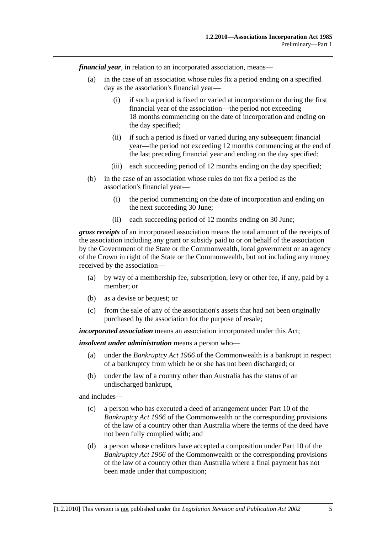*financial year*, in relation to an incorporated association, means—

- (a) in the case of an association whose rules fix a period ending on a specified day as the association's financial year—
	- (i) if such a period is fixed or varied at incorporation or during the first financial year of the association—the period not exceeding 18 months commencing on the date of incorporation and ending on the day specified;
	- (ii) if such a period is fixed or varied during any subsequent financial year—the period not exceeding 12 months commencing at the end of the last preceding financial year and ending on the day specified;
	- (iii) each succeeding period of 12 months ending on the day specified;
- (b) in the case of an association whose rules do not fix a period as the association's financial year—
	- (i) the period commencing on the date of incorporation and ending on the next succeeding 30 June;
	- (ii) each succeeding period of 12 months ending on 30 June;

*gross receipts* of an incorporated association means the total amount of the receipts of the association including any grant or subsidy paid to or on behalf of the association by the Government of the State or the Commonwealth, local government or an agency of the Crown in right of the State or the Commonwealth, but not including any money received by the association—

- (a) by way of a membership fee, subscription, levy or other fee, if any, paid by a member; or
- (b) as a devise or bequest; or
- (c) from the sale of any of the association's assets that had not been originally purchased by the association for the purpose of resale;

*incorporated association* means an association incorporated under this Act;

*insolvent under administration* means a person who—

- (a) under the *Bankruptcy Act 1966* of the Commonwealth is a bankrupt in respect of a bankruptcy from which he or she has not been discharged; or
- (b) under the law of a country other than Australia has the status of an undischarged bankrupt,

and includes—

- (c) a person who has executed a deed of arrangement under Part 10 of the *Bankruptcy Act 1966* of the Commonwealth or the corresponding provisions of the law of a country other than Australia where the terms of the deed have not been fully complied with; and
- (d) a person whose creditors have accepted a composition under Part 10 of the *Bankruptcy Act 1966* of the Commonwealth or the corresponding provisions of the law of a country other than Australia where a final payment has not been made under that composition;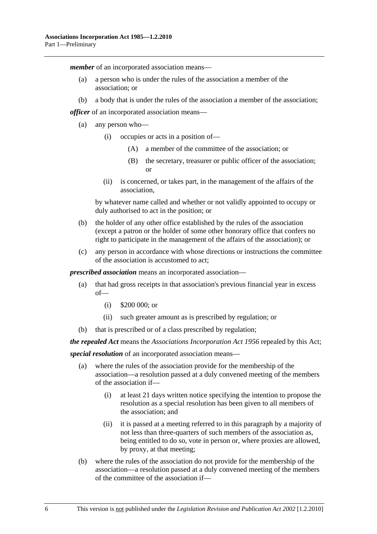*member* of an incorporated association means—

- (a) a person who is under the rules of the association a member of the association; or
- (b) a body that is under the rules of the association a member of the association;

*officer* of an incorporated association means—

- (a) any person who—
	- (i) occupies or acts in a position of—
		- (A) a member of the committee of the association; or
		- (B) the secretary, treasurer or public officer of the association; or
	- (ii) is concerned, or takes part, in the management of the affairs of the association,

by whatever name called and whether or not validly appointed to occupy or duly authorised to act in the position; or

- (b) the holder of any other office established by the rules of the association (except a patron or the holder of some other honorary office that confers no right to participate in the management of the affairs of the association); or
- (c) any person in accordance with whose directions or instructions the committee of the association is accustomed to act;

*prescribed association* means an incorporated association—

- (a) that had gross receipts in that association's previous financial year in excess of—
	- (i) \$200 000; or
	- (ii) such greater amount as is prescribed by regulation; or
- (b) that is prescribed or of a class prescribed by regulation;

*the repealed Act* means the *Associations Incorporation Act 1956* repealed by this Act;

*special resolution* of an incorporated association means—

- (a) where the rules of the association provide for the membership of the association—a resolution passed at a duly convened meeting of the members of the association if—
	- (i) at least 21 days written notice specifying the intention to propose the resolution as a special resolution has been given to all members of the association; and
	- (ii) it is passed at a meeting referred to in this paragraph by a majority of not less than three-quarters of such members of the association as, being entitled to do so, vote in person or, where proxies are allowed, by proxy, at that meeting;
- (b) where the rules of the association do not provide for the membership of the association—a resolution passed at a duly convened meeting of the members of the committee of the association if—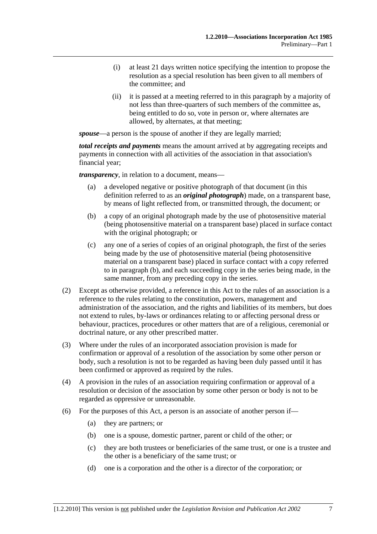- (i) at least 21 days written notice specifying the intention to propose the resolution as a special resolution has been given to all members of the committee; and
- (ii) it is passed at a meeting referred to in this paragraph by a majority of not less than three-quarters of such members of the committee as, being entitled to do so, vote in person or, where alternates are allowed, by alternates, at that meeting;

*spouse*—a person is the spouse of another if they are legally married;

*total receipts and payments* means the amount arrived at by aggregating receipts and payments in connection with all activities of the association in that association's financial year;

*transparency*, in relation to a document, means—

- (a) a developed negative or positive photograph of that document (in this definition referred to as an *original photograph*) made, on a transparent base, by means of light reflected from, or transmitted through, the document; or
- (b) a copy of an original photograph made by the use of photosensitive material (being photosensitive material on a transparent base) placed in surface contact with the original photograph; or
- (c) any one of a series of copies of an original photograph, the first of the series being made by the use of photosensitive material (being photosensitive material on a transparent base) placed in surface contact with a copy referred to in paragraph (b), and each succeeding copy in the series being made, in the same manner, from any preceding copy in the series.
- (2) Except as otherwise provided, a reference in this Act to the rules of an association is a reference to the rules relating to the constitution, powers, management and administration of the association, and the rights and liabilities of its members, but does not extend to rules, by-laws or ordinances relating to or affecting personal dress or behaviour, practices, procedures or other matters that are of a religious, ceremonial or doctrinal nature, or any other prescribed matter.
- (3) Where under the rules of an incorporated association provision is made for confirmation or approval of a resolution of the association by some other person or body, such a resolution is not to be regarded as having been duly passed until it has been confirmed or approved as required by the rules.
- (4) A provision in the rules of an association requiring confirmation or approval of a resolution or decision of the association by some other person or body is not to be regarded as oppressive or unreasonable.
- (6) For the purposes of this Act, a person is an associate of another person if—
	- (a) they are partners; or
	- (b) one is a spouse, domestic partner, parent or child of the other; or
	- (c) they are both trustees or beneficiaries of the same trust, or one is a trustee and the other is a beneficiary of the same trust; or
	- (d) one is a corporation and the other is a director of the corporation; or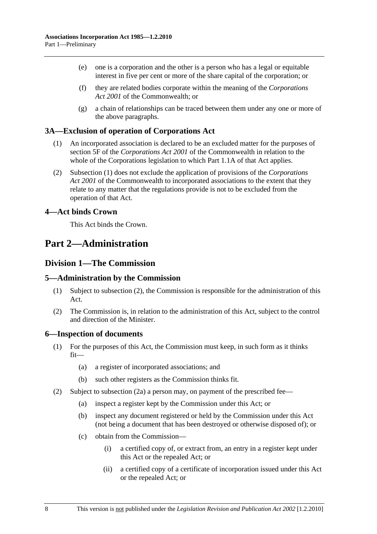- (e) one is a corporation and the other is a person who has a legal or equitable interest in five per cent or more of the share capital of the corporation; or
- (f) they are related bodies corporate within the meaning of the *Corporations Act 2001* of the Commonwealth; or
- (g) a chain of relationships can be traced between them under any one or more of the above paragraphs.

### **3A—Exclusion of operation of Corporations Act**

- (1) An incorporated association is declared to be an excluded matter for the purposes of section 5F of the *Corporations Act 2001* of the Commonwealth in relation to the whole of the Corporations legislation to which Part 1.1A of that Act applies.
- (2) Subsection (1) does not exclude the application of provisions of the *Corporations Act 2001* of the Commonwealth to incorporated associations to the extent that they relate to any matter that the regulations provide is not to be excluded from the operation of that Act.

## **4—Act binds Crown**

This Act binds the Crown.

## **Part 2—Administration**

## **Division 1—The Commission**

#### **5—Administration by the Commission**

- (1) Subject to subsection (2), the Commission is responsible for the administration of this Act.
- (2) The Commission is, in relation to the administration of this Act, subject to the control and direction of the Minister.

#### **6—Inspection of documents**

- (1) For the purposes of this Act, the Commission must keep, in such form as it thinks fit—
	- (a) a register of incorporated associations; and
	- (b) such other registers as the Commission thinks fit.
- (2) Subject to subsection (2a) a person may, on payment of the prescribed fee—
	- (a) inspect a register kept by the Commission under this Act; or
	- (b) inspect any document registered or held by the Commission under this Act (not being a document that has been destroyed or otherwise disposed of); or
	- (c) obtain from the Commission—
		- (i) a certified copy of, or extract from, an entry in a register kept under this Act or the repealed Act; or
		- (ii) a certified copy of a certificate of incorporation issued under this Act or the repealed Act; or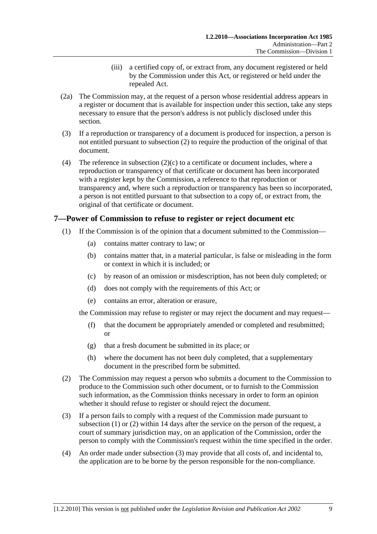- (iii) a certified copy of, or extract from, any document registered or held by the Commission under this Act, or registered or held under the repealed Act.
- (2a) The Commission may, at the request of a person whose residential address appears in a register or document that is available for inspection under this section, take any steps necessary to ensure that the person's address is not publicly disclosed under this section.
- (3) If a reproduction or transparency of a document is produced for inspection, a person is not entitled pursuant to subsection (2) to require the production of the original of that document.
- (4) The reference in subsection  $(2)(c)$  to a certificate or document includes, where a reproduction or transparency of that certificate or document has been incorporated with a register kept by the Commission, a reference to that reproduction or transparency and, where such a reproduction or transparency has been so incorporated, a person is not entitled pursuant to that subsection to a copy of, or extract from, the original of that certificate or document.

## **7—Power of Commission to refuse to register or reject document etc**

- (1) If the Commission is of the opinion that a document submitted to the Commission—
	- (a) contains matter contrary to law; or
	- (b) contains matter that, in a material particular, is false or misleading in the form or context in which it is included; or
	- (c) by reason of an omission or misdescription, has not been duly completed; or
	- (d) does not comply with the requirements of this Act; or
	- (e) contains an error, alteration or erasure,

the Commission may refuse to register or may reject the document and may request—

- (f) that the document be appropriately amended or completed and resubmitted; or
- (g) that a fresh document be submitted in its place; or
- (h) where the document has not been duly completed, that a supplementary document in the prescribed form be submitted.
- (2) The Commission may request a person who submits a document to the Commission to produce to the Commission such other document, or to furnish to the Commission such information, as the Commission thinks necessary in order to form an opinion whether it should refuse to register or should reject the document.
- (3) If a person fails to comply with a request of the Commission made pursuant to subsection (1) or (2) within 14 days after the service on the person of the request, a court of summary jurisdiction may, on an application of the Commission, order the person to comply with the Commission's request within the time specified in the order.
- (4) An order made under subsection (3) may provide that all costs of, and incidental to, the application are to be borne by the person responsible for the non-compliance.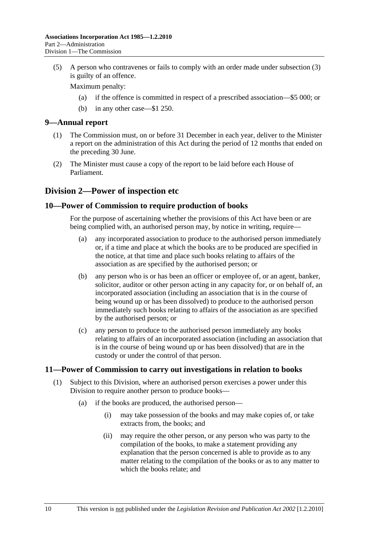(5) A person who contravenes or fails to comply with an order made under subsection (3) is guilty of an offence.

Maximum penalty:

- (a) if the offence is committed in respect of a prescribed association—\$5 000; or
- (b) in any other case—\$1 250.

#### **9—Annual report**

- (1) The Commission must, on or before 31 December in each year, deliver to the Minister a report on the administration of this Act during the period of 12 months that ended on the preceding 30 June.
- (2) The Minister must cause a copy of the report to be laid before each House of Parliament.

## **Division 2—Power of inspection etc**

### **10—Power of Commission to require production of books**

For the purpose of ascertaining whether the provisions of this Act have been or are being complied with, an authorised person may, by notice in writing, require—

- (a) any incorporated association to produce to the authorised person immediately or, if a time and place at which the books are to be produced are specified in the notice, at that time and place such books relating to affairs of the association as are specified by the authorised person; or
- (b) any person who is or has been an officer or employee of, or an agent, banker, solicitor, auditor or other person acting in any capacity for, or on behalf of, an incorporated association (including an association that is in the course of being wound up or has been dissolved) to produce to the authorised person immediately such books relating to affairs of the association as are specified by the authorised person; or
- (c) any person to produce to the authorised person immediately any books relating to affairs of an incorporated association (including an association that is in the course of being wound up or has been dissolved) that are in the custody or under the control of that person.

## **11—Power of Commission to carry out investigations in relation to books**

- (1) Subject to this Division, where an authorised person exercises a power under this Division to require another person to produce books—
	- (a) if the books are produced, the authorised person—
		- (i) may take possession of the books and may make copies of, or take extracts from, the books; and
		- (ii) may require the other person, or any person who was party to the compilation of the books, to make a statement providing any explanation that the person concerned is able to provide as to any matter relating to the compilation of the books or as to any matter to which the books relate; and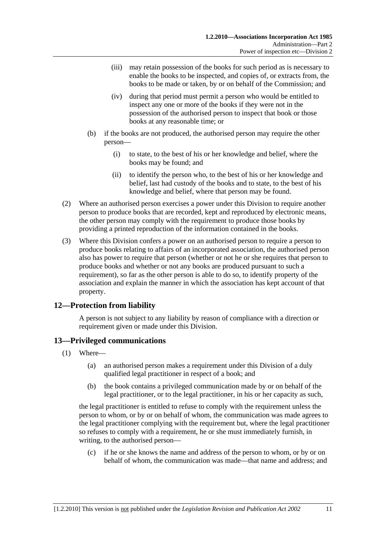- (iii) may retain possession of the books for such period as is necessary to enable the books to be inspected, and copies of, or extracts from, the books to be made or taken, by or on behalf of the Commission; and
- (iv) during that period must permit a person who would be entitled to inspect any one or more of the books if they were not in the possession of the authorised person to inspect that book or those books at any reasonable time; or
- (b) if the books are not produced, the authorised person may require the other person—
	- (i) to state, to the best of his or her knowledge and belief, where the books may be found; and
	- (ii) to identify the person who, to the best of his or her knowledge and belief, last had custody of the books and to state, to the best of his knowledge and belief, where that person may be found.
- (2) Where an authorised person exercises a power under this Division to require another person to produce books that are recorded, kept and reproduced by electronic means, the other person may comply with the requirement to produce those books by providing a printed reproduction of the information contained in the books.
- (3) Where this Division confers a power on an authorised person to require a person to produce books relating to affairs of an incorporated association, the authorised person also has power to require that person (whether or not he or she requires that person to produce books and whether or not any books are produced pursuant to such a requirement), so far as the other person is able to do so, to identify property of the association and explain the manner in which the association has kept account of that property.

## **12—Protection from liability**

A person is not subject to any liability by reason of compliance with a direction or requirement given or made under this Division.

## **13—Privileged communications**

- (1) Where—
	- (a) an authorised person makes a requirement under this Division of a duly qualified legal practitioner in respect of a book; and
	- (b) the book contains a privileged communication made by or on behalf of the legal practitioner, or to the legal practitioner, in his or her capacity as such,

the legal practitioner is entitled to refuse to comply with the requirement unless the person to whom, or by or on behalf of whom, the communication was made agrees to the legal practitioner complying with the requirement but, where the legal practitioner so refuses to comply with a requirement, he or she must immediately furnish, in writing, to the authorised person—

 (c) if he or she knows the name and address of the person to whom, or by or on behalf of whom, the communication was made—that name and address; and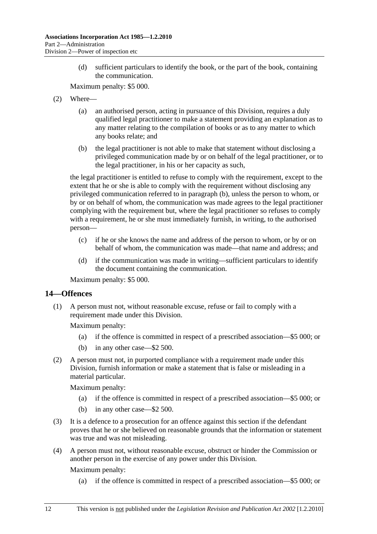(d) sufficient particulars to identify the book, or the part of the book, containing the communication.

Maximum penalty: \$5 000.

- (2) Where—
	- (a) an authorised person, acting in pursuance of this Division, requires a duly qualified legal practitioner to make a statement providing an explanation as to any matter relating to the compilation of books or as to any matter to which any books relate; and
	- (b) the legal practitioner is not able to make that statement without disclosing a privileged communication made by or on behalf of the legal practitioner, or to the legal practitioner, in his or her capacity as such,

the legal practitioner is entitled to refuse to comply with the requirement, except to the extent that he or she is able to comply with the requirement without disclosing any privileged communication referred to in paragraph (b), unless the person to whom, or by or on behalf of whom, the communication was made agrees to the legal practitioner complying with the requirement but, where the legal practitioner so refuses to comply with a requirement, he or she must immediately furnish, in writing, to the authorised person—

- (c) if he or she knows the name and address of the person to whom, or by or on behalf of whom, the communication was made—that name and address; and
- (d) if the communication was made in writing—sufficient particulars to identify the document containing the communication.

Maximum penalty: \$5 000.

## **14—Offences**

 (1) A person must not, without reasonable excuse, refuse or fail to comply with a requirement made under this Division.

Maximum penalty:

- (a) if the offence is committed in respect of a prescribed association—\$5 000; or
- (b) in any other case—\$2 500.
- (2) A person must not, in purported compliance with a requirement made under this Division, furnish information or make a statement that is false or misleading in a material particular.

Maximum penalty:

- (a) if the offence is committed in respect of a prescribed association—\$5 000; or
- (b) in any other case—\$2 500.
- (3) It is a defence to a prosecution for an offence against this section if the defendant proves that he or she believed on reasonable grounds that the information or statement was true and was not misleading.
- (4) A person must not, without reasonable excuse, obstruct or hinder the Commission or another person in the exercise of any power under this Division.

Maximum penalty:

(a) if the offence is committed in respect of a prescribed association—\$5 000; or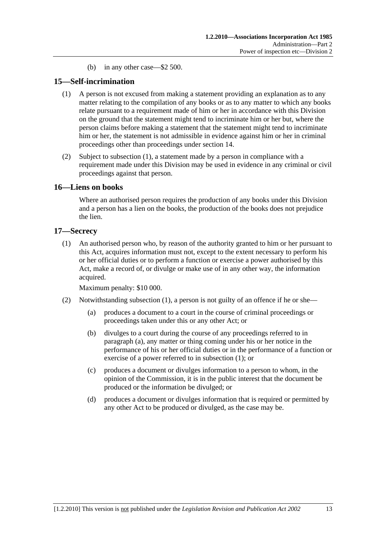(b) in any other case—\$2 500.

## **15—Self-incrimination**

- (1) A person is not excused from making a statement providing an explanation as to any matter relating to the compilation of any books or as to any matter to which any books relate pursuant to a requirement made of him or her in accordance with this Division on the ground that the statement might tend to incriminate him or her but, where the person claims before making a statement that the statement might tend to incriminate him or her, the statement is not admissible in evidence against him or her in criminal proceedings other than proceedings under section 14.
- (2) Subject to subsection (1), a statement made by a person in compliance with a requirement made under this Division may be used in evidence in any criminal or civil proceedings against that person.

## **16—Liens on books**

Where an authorised person requires the production of any books under this Division and a person has a lien on the books, the production of the books does not prejudice the lien.

#### **17—Secrecy**

 (1) An authorised person who, by reason of the authority granted to him or her pursuant to this Act, acquires information must not, except to the extent necessary to perform his or her official duties or to perform a function or exercise a power authorised by this Act, make a record of, or divulge or make use of in any other way, the information acquired.

Maximum penalty: \$10 000.

- (2) Notwithstanding subsection (1), a person is not guilty of an offence if he or she—
	- (a) produces a document to a court in the course of criminal proceedings or proceedings taken under this or any other Act; or
	- (b) divulges to a court during the course of any proceedings referred to in paragraph (a), any matter or thing coming under his or her notice in the performance of his or her official duties or in the performance of a function or exercise of a power referred to in subsection (1); or
	- (c) produces a document or divulges information to a person to whom, in the opinion of the Commission, it is in the public interest that the document be produced or the information be divulged; or
	- (d) produces a document or divulges information that is required or permitted by any other Act to be produced or divulged, as the case may be.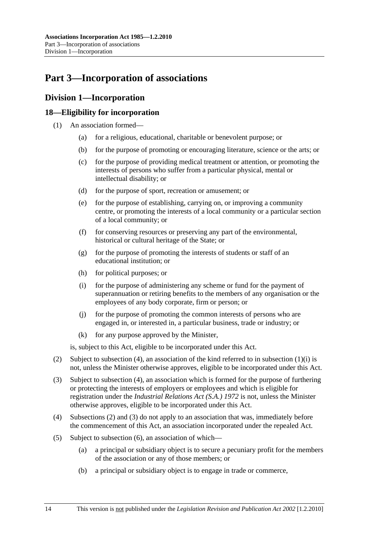# **Part 3—Incorporation of associations**

## **Division 1—Incorporation**

## **18—Eligibility for incorporation**

- (1) An association formed—
	- (a) for a religious, educational, charitable or benevolent purpose; or
	- (b) for the purpose of promoting or encouraging literature, science or the arts; or
	- (c) for the purpose of providing medical treatment or attention, or promoting the interests of persons who suffer from a particular physical, mental or intellectual disability; or
	- (d) for the purpose of sport, recreation or amusement; or
	- (e) for the purpose of establishing, carrying on, or improving a community centre, or promoting the interests of a local community or a particular section of a local community; or
	- (f) for conserving resources or preserving any part of the environmental, historical or cultural heritage of the State; or
	- (g) for the purpose of promoting the interests of students or staff of an educational institution; or
	- (h) for political purposes; or
	- (i) for the purpose of administering any scheme or fund for the payment of superannuation or retiring benefits to the members of any organisation or the employees of any body corporate, firm or person; or
	- (j) for the purpose of promoting the common interests of persons who are engaged in, or interested in, a particular business, trade or industry; or
	- (k) for any purpose approved by the Minister,

is, subject to this Act, eligible to be incorporated under this Act.

- (2) Subject to subsection (4), an association of the kind referred to in subsection (1)(i) is not, unless the Minister otherwise approves, eligible to be incorporated under this Act.
- (3) Subject to subsection (4), an association which is formed for the purpose of furthering or protecting the interests of employers or employees and which is eligible for registration under the *Industrial Relations Act (S.A.) 1972* is not, unless the Minister otherwise approves, eligible to be incorporated under this Act.
- (4) Subsections (2) and (3) do not apply to an association that was, immediately before the commencement of this Act, an association incorporated under the repealed Act.
- (5) Subject to subsection (6), an association of which—
	- (a) a principal or subsidiary object is to secure a pecuniary profit for the members of the association or any of those members; or
	- (b) a principal or subsidiary object is to engage in trade or commerce,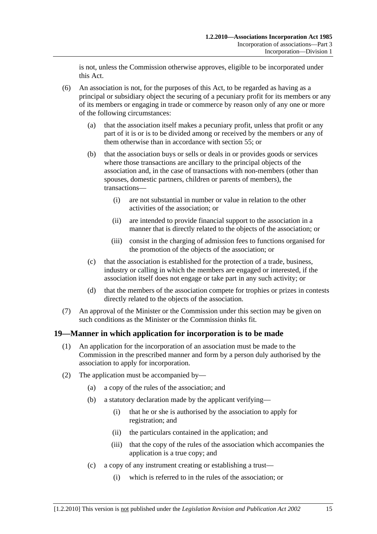is not, unless the Commission otherwise approves, eligible to be incorporated under this Act.

- (6) An association is not, for the purposes of this Act, to be regarded as having as a principal or subsidiary object the securing of a pecuniary profit for its members or any of its members or engaging in trade or commerce by reason only of any one or more of the following circumstances:
	- (a) that the association itself makes a pecuniary profit, unless that profit or any part of it is or is to be divided among or received by the members or any of them otherwise than in accordance with section 55; or
	- (b) that the association buys or sells or deals in or provides goods or services where those transactions are ancillary to the principal objects of the association and, in the case of transactions with non-members (other than spouses, domestic partners, children or parents of members), the transactions—
		- (i) are not substantial in number or value in relation to the other activities of the association; or
		- (ii) are intended to provide financial support to the association in a manner that is directly related to the objects of the association; or
		- (iii) consist in the charging of admission fees to functions organised for the promotion of the objects of the association; or
	- (c) that the association is established for the protection of a trade, business, industry or calling in which the members are engaged or interested, if the association itself does not engage or take part in any such activity; or
	- (d) that the members of the association compete for trophies or prizes in contests directly related to the objects of the association.
- (7) An approval of the Minister or the Commission under this section may be given on such conditions as the Minister or the Commission thinks fit.

## **19—Manner in which application for incorporation is to be made**

- (1) An application for the incorporation of an association must be made to the Commission in the prescribed manner and form by a person duly authorised by the association to apply for incorporation.
- (2) The application must be accompanied by—
	- (a) a copy of the rules of the association; and
	- (b) a statutory declaration made by the applicant verifying—
		- (i) that he or she is authorised by the association to apply for registration; and
		- (ii) the particulars contained in the application; and
		- (iii) that the copy of the rules of the association which accompanies the application is a true copy; and
	- (c) a copy of any instrument creating or establishing a trust—
		- (i) which is referred to in the rules of the association; or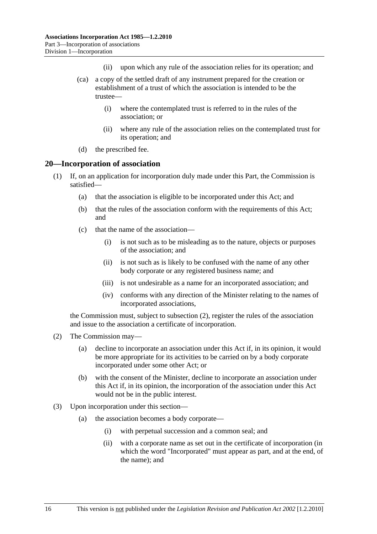- (ii) upon which any rule of the association relies for its operation; and
- (ca) a copy of the settled draft of any instrument prepared for the creation or establishment of a trust of which the association is intended to be the trustee—
	- (i) where the contemplated trust is referred to in the rules of the association; or
	- (ii) where any rule of the association relies on the contemplated trust for its operation; and
- (d) the prescribed fee.

#### **20—Incorporation of association**

- (1) If, on an application for incorporation duly made under this Part, the Commission is satisfied—
	- (a) that the association is eligible to be incorporated under this Act; and
	- (b) that the rules of the association conform with the requirements of this Act; and
	- (c) that the name of the association—
		- (i) is not such as to be misleading as to the nature, objects or purposes of the association; and
		- (ii) is not such as is likely to be confused with the name of any other body corporate or any registered business name; and
		- (iii) is not undesirable as a name for an incorporated association; and
		- (iv) conforms with any direction of the Minister relating to the names of incorporated associations,

the Commission must, subject to subsection (2), register the rules of the association and issue to the association a certificate of incorporation.

- (2) The Commission may—
	- (a) decline to incorporate an association under this Act if, in its opinion, it would be more appropriate for its activities to be carried on by a body corporate incorporated under some other Act; or
	- (b) with the consent of the Minister, decline to incorporate an association under this Act if, in its opinion, the incorporation of the association under this Act would not be in the public interest.
- (3) Upon incorporation under this section—
	- (a) the association becomes a body corporate—
		- (i) with perpetual succession and a common seal; and
		- (ii) with a corporate name as set out in the certificate of incorporation (in which the word "Incorporated" must appear as part, and at the end, of the name); and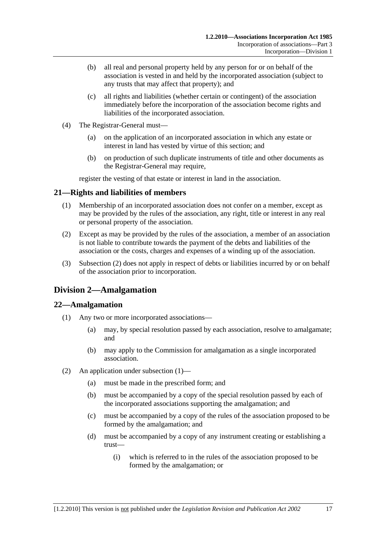- (b) all real and personal property held by any person for or on behalf of the association is vested in and held by the incorporated association (subject to any trusts that may affect that property); and
- (c) all rights and liabilities (whether certain or contingent) of the association immediately before the incorporation of the association become rights and liabilities of the incorporated association.
- (4) The Registrar-General must—
	- (a) on the application of an incorporated association in which any estate or interest in land has vested by virtue of this section; and
	- (b) on production of such duplicate instruments of title and other documents as the Registrar-General may require,

register the vesting of that estate or interest in land in the association.

## **21—Rights and liabilities of members**

- (1) Membership of an incorporated association does not confer on a member, except as may be provided by the rules of the association, any right, title or interest in any real or personal property of the association.
- (2) Except as may be provided by the rules of the association, a member of an association is not liable to contribute towards the payment of the debts and liabilities of the association or the costs, charges and expenses of a winding up of the association.
- (3) Subsection (2) does not apply in respect of debts or liabilities incurred by or on behalf of the association prior to incorporation.

## **Division 2—Amalgamation**

## **22—Amalgamation**

- (1) Any two or more incorporated associations—
	- (a) may, by special resolution passed by each association, resolve to amalgamate; and
	- (b) may apply to the Commission for amalgamation as a single incorporated association.
- (2) An application under subsection (1)—
	- (a) must be made in the prescribed form; and
	- (b) must be accompanied by a copy of the special resolution passed by each of the incorporated associations supporting the amalgamation; and
	- (c) must be accompanied by a copy of the rules of the association proposed to be formed by the amalgamation; and
	- (d) must be accompanied by a copy of any instrument creating or establishing a trust—
		- (i) which is referred to in the rules of the association proposed to be formed by the amalgamation; or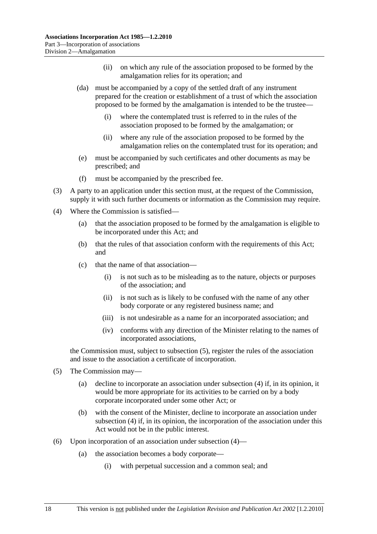- (ii) on which any rule of the association proposed to be formed by the amalgamation relies for its operation; and
- (da) must be accompanied by a copy of the settled draft of any instrument prepared for the creation or establishment of a trust of which the association proposed to be formed by the amalgamation is intended to be the trustee—
	- (i) where the contemplated trust is referred to in the rules of the association proposed to be formed by the amalgamation; or
	- (ii) where any rule of the association proposed to be formed by the amalgamation relies on the contemplated trust for its operation; and
- (e) must be accompanied by such certificates and other documents as may be prescribed; and
- (f) must be accompanied by the prescribed fee.
- (3) A party to an application under this section must, at the request of the Commission, supply it with such further documents or information as the Commission may require.
- (4) Where the Commission is satisfied—
	- (a) that the association proposed to be formed by the amalgamation is eligible to be incorporated under this Act; and
	- (b) that the rules of that association conform with the requirements of this Act; and
	- (c) that the name of that association—
		- (i) is not such as to be misleading as to the nature, objects or purposes of the association; and
		- (ii) is not such as is likely to be confused with the name of any other body corporate or any registered business name; and
		- (iii) is not undesirable as a name for an incorporated association; and
		- (iv) conforms with any direction of the Minister relating to the names of incorporated associations,

the Commission must, subject to subsection (5), register the rules of the association and issue to the association a certificate of incorporation.

- (5) The Commission may—
	- (a) decline to incorporate an association under subsection (4) if, in its opinion, it would be more appropriate for its activities to be carried on by a body corporate incorporated under some other Act; or
	- (b) with the consent of the Minister, decline to incorporate an association under subsection (4) if, in its opinion, the incorporation of the association under this Act would not be in the public interest.
- (6) Upon incorporation of an association under subsection (4)—
	- (a) the association becomes a body corporate—
		- (i) with perpetual succession and a common seal; and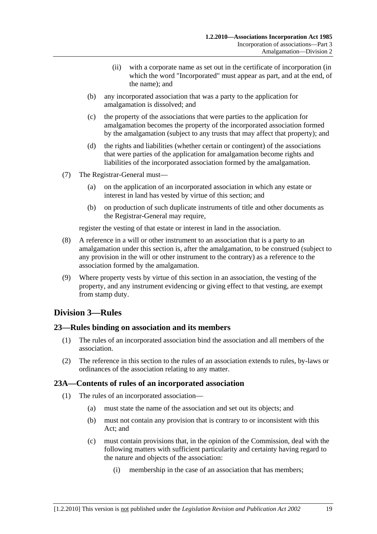- (ii) with a corporate name as set out in the certificate of incorporation (in which the word "Incorporated" must appear as part, and at the end, of the name); and
- (b) any incorporated association that was a party to the application for amalgamation is dissolved; and
- (c) the property of the associations that were parties to the application for amalgamation becomes the property of the incorporated association formed by the amalgamation (subject to any trusts that may affect that property); and
- (d) the rights and liabilities (whether certain or contingent) of the associations that were parties of the application for amalgamation become rights and liabilities of the incorporated association formed by the amalgamation.
- (7) The Registrar-General must—
	- (a) on the application of an incorporated association in which any estate or interest in land has vested by virtue of this section; and
	- (b) on production of such duplicate instruments of title and other documents as the Registrar-General may require,

register the vesting of that estate or interest in land in the association.

- (8) A reference in a will or other instrument to an association that is a party to an amalgamation under this section is, after the amalgamation, to be construed (subject to any provision in the will or other instrument to the contrary) as a reference to the association formed by the amalgamation.
- (9) Where property vests by virtue of this section in an association, the vesting of the property, and any instrument evidencing or giving effect to that vesting, are exempt from stamp duty.

## **Division 3—Rules**

## **23—Rules binding on association and its members**

- (1) The rules of an incorporated association bind the association and all members of the association.
- (2) The reference in this section to the rules of an association extends to rules, by-laws or ordinances of the association relating to any matter.

## **23A—Contents of rules of an incorporated association**

- (1) The rules of an incorporated association—
	- (a) must state the name of the association and set out its objects; and
	- (b) must not contain any provision that is contrary to or inconsistent with this Act; and
	- (c) must contain provisions that, in the opinion of the Commission, deal with the following matters with sufficient particularity and certainty having regard to the nature and objects of the association:
		- (i) membership in the case of an association that has members;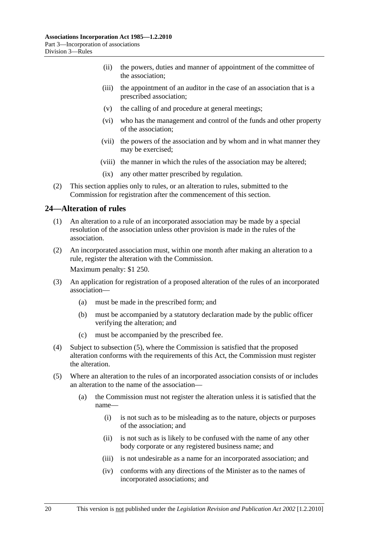- (ii) the powers, duties and manner of appointment of the committee of the association;
- (iii) the appointment of an auditor in the case of an association that is a prescribed association;
- (v) the calling of and procedure at general meetings;
- (vi) who has the management and control of the funds and other property of the association;
- (vii) the powers of the association and by whom and in what manner they may be exercised;
- (viii) the manner in which the rules of the association may be altered;
- (ix) any other matter prescribed by regulation.
- (2) This section applies only to rules, or an alteration to rules, submitted to the Commission for registration after the commencement of this section.

## **24—Alteration of rules**

- (1) An alteration to a rule of an incorporated association may be made by a special resolution of the association unless other provision is made in the rules of the association.
- (2) An incorporated association must, within one month after making an alteration to a rule, register the alteration with the Commission.

Maximum penalty: \$1 250.

- (3) An application for registration of a proposed alteration of the rules of an incorporated association—
	- (a) must be made in the prescribed form; and
	- (b) must be accompanied by a statutory declaration made by the public officer verifying the alteration; and
	- (c) must be accompanied by the prescribed fee.
- (4) Subject to subsection (5), where the Commission is satisfied that the proposed alteration conforms with the requirements of this Act, the Commission must register the alteration.
- (5) Where an alteration to the rules of an incorporated association consists of or includes an alteration to the name of the association—
	- (a) the Commission must not register the alteration unless it is satisfied that the name—
		- (i) is not such as to be misleading as to the nature, objects or purposes of the association; and
		- (ii) is not such as is likely to be confused with the name of any other body corporate or any registered business name; and
		- (iii) is not undesirable as a name for an incorporated association; and
		- (iv) conforms with any directions of the Minister as to the names of incorporated associations; and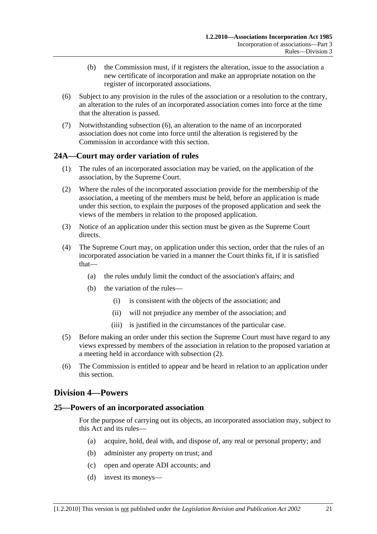- (b) the Commission must, if it registers the alteration, issue to the association a new certificate of incorporation and make an appropriate notation on the register of incorporated associations.
- (6) Subject to any provision in the rules of the association or a resolution to the contrary, an alteration to the rules of an incorporated association comes into force at the time that the alteration is passed.
- (7) Notwithstanding subsection (6), an alteration to the name of an incorporated association does not come into force until the alteration is registered by the Commission in accordance with this section.

## **24A—Court may order variation of rules**

- (1) The rules of an incorporated association may be varied, on the application of the association, by the Supreme Court.
- (2) Where the rules of the incorporated association provide for the membership of the association, a meeting of the members must be held, before an application is made under this section, to explain the purposes of the proposed application and seek the views of the members in relation to the proposed application.
- (3) Notice of an application under this section must be given as the Supreme Court directs.
- (4) The Supreme Court may, on application under this section, order that the rules of an incorporated association be varied in a manner the Court thinks fit, if it is satisfied that—
	- (a) the rules unduly limit the conduct of the association's affairs; and
	- (b) the variation of the rules—
		- (i) is consistent with the objects of the association; and
		- (ii) will not prejudice any member of the association; and
		- (iii) is justified in the circumstances of the particular case.
- (5) Before making an order under this section the Supreme Court must have regard to any views expressed by members of the association in relation to the proposed variation at a meeting held in accordance with subsection (2).
- (6) The Commission is entitled to appear and be heard in relation to an application under this section.

## **Division 4—Powers**

## **25—Powers of an incorporated association**

For the purpose of carrying out its objects, an incorporated association may, subject to this Act and its rules—

- (a) acquire, hold, deal with, and dispose of, any real or personal property; and
- (b) administer any property on trust; and
- (c) open and operate ADI accounts; and
- (d) invest its moneys—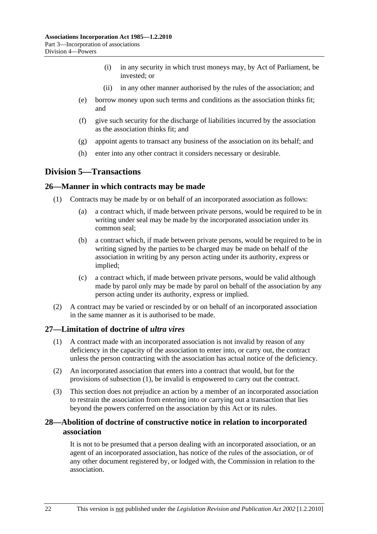- (i) in any security in which trust moneys may, by Act of Parliament, be invested; or
- (ii) in any other manner authorised by the rules of the association; and
- (e) borrow money upon such terms and conditions as the association thinks fit; and
- (f) give such security for the discharge of liabilities incurred by the association as the association thinks fit; and
- (g) appoint agents to transact any business of the association on its behalf; and
- (h) enter into any other contract it considers necessary or desirable.

## **Division 5—Transactions**

#### **26—Manner in which contracts may be made**

- (1) Contracts may be made by or on behalf of an incorporated association as follows:
	- (a) a contract which, if made between private persons, would be required to be in writing under seal may be made by the incorporated association under its common seal;
	- (b) a contract which, if made between private persons, would be required to be in writing signed by the parties to be charged may be made on behalf of the association in writing by any person acting under its authority, express or implied;
	- (c) a contract which, if made between private persons, would be valid although made by parol only may be made by parol on behalf of the association by any person acting under its authority, express or implied.
- (2) A contract may be varied or rescinded by or on behalf of an incorporated association in the same manner as it is authorised to be made.

## **27—Limitation of doctrine of** *ultra vires*

- (1) A contract made with an incorporated association is not invalid by reason of any deficiency in the capacity of the association to enter into, or carry out, the contract unless the person contracting with the association has actual notice of the deficiency.
- (2) An incorporated association that enters into a contract that would, but for the provisions of subsection (1), be invalid is empowered to carry out the contract.
- (3) This section does not prejudice an action by a member of an incorporated association to restrain the association from entering into or carrying out a transaction that lies beyond the powers conferred on the association by this Act or its rules.

## **28—Abolition of doctrine of constructive notice in relation to incorporated association**

It is not to be presumed that a person dealing with an incorporated association, or an agent of an incorporated association, has notice of the rules of the association, or of any other document registered by, or lodged with, the Commission in relation to the association.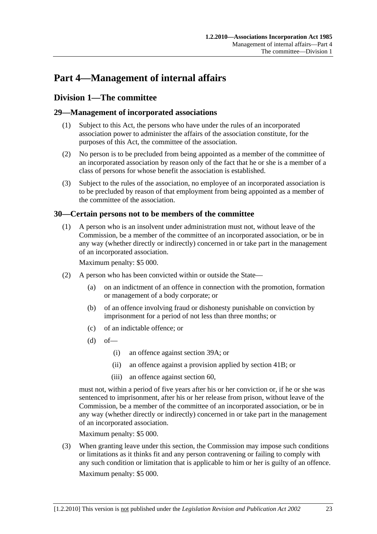# **Part 4—Management of internal affairs**

## **Division 1—The committee**

## **29—Management of incorporated associations**

- (1) Subject to this Act, the persons who have under the rules of an incorporated association power to administer the affairs of the association constitute, for the purposes of this Act, the committee of the association.
- (2) No person is to be precluded from being appointed as a member of the committee of an incorporated association by reason only of the fact that he or she is a member of a class of persons for whose benefit the association is established.
- (3) Subject to the rules of the association, no employee of an incorporated association is to be precluded by reason of that employment from being appointed as a member of the committee of the association.

## **30—Certain persons not to be members of the committee**

 (1) A person who is an insolvent under administration must not, without leave of the Commission, be a member of the committee of an incorporated association, or be in any way (whether directly or indirectly) concerned in or take part in the management of an incorporated association.

Maximum penalty: \$5 000.

- (2) A person who has been convicted within or outside the State—
	- (a) on an indictment of an offence in connection with the promotion, formation or management of a body corporate; or
	- (b) of an offence involving fraud or dishonesty punishable on conviction by imprisonment for a period of not less than three months; or
	- (c) of an indictable offence; or
	- $(d)$  of
		- (i) an offence against section 39A; or
		- (ii) an offence against a provision applied by section 41B; or
		- (iii) an offence against section 60,

must not, within a period of five years after his or her conviction or, if he or she was sentenced to imprisonment, after his or her release from prison, without leave of the Commission, be a member of the committee of an incorporated association, or be in any way (whether directly or indirectly) concerned in or take part in the management of an incorporated association.

Maximum penalty: \$5 000.

 (3) When granting leave under this section, the Commission may impose such conditions or limitations as it thinks fit and any person contravening or failing to comply with any such condition or limitation that is applicable to him or her is guilty of an offence. Maximum penalty: \$5 000.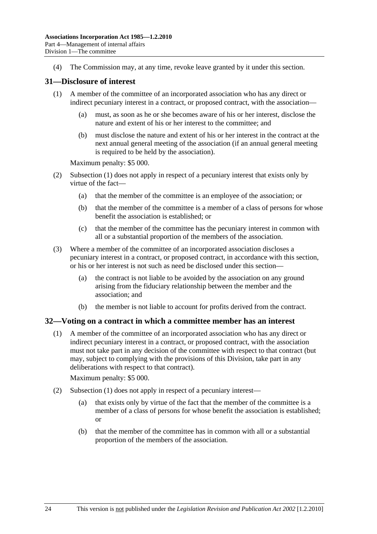(4) The Commission may, at any time, revoke leave granted by it under this section.

#### **31—Disclosure of interest**

- (1) A member of the committee of an incorporated association who has any direct or indirect pecuniary interest in a contract, or proposed contract, with the association—
	- (a) must, as soon as he or she becomes aware of his or her interest, disclose the nature and extent of his or her interest to the committee; and
	- (b) must disclose the nature and extent of his or her interest in the contract at the next annual general meeting of the association (if an annual general meeting is required to be held by the association).

Maximum penalty: \$5 000.

- (2) Subsection (1) does not apply in respect of a pecuniary interest that exists only by virtue of the fact—
	- (a) that the member of the committee is an employee of the association; or
	- (b) that the member of the committee is a member of a class of persons for whose benefit the association is established; or
	- (c) that the member of the committee has the pecuniary interest in common with all or a substantial proportion of the members of the association.
- (3) Where a member of the committee of an incorporated association discloses a pecuniary interest in a contract, or proposed contract, in accordance with this section, or his or her interest is not such as need be disclosed under this section—
	- (a) the contract is not liable to be avoided by the association on any ground arising from the fiduciary relationship between the member and the association; and
	- (b) the member is not liable to account for profits derived from the contract.

#### **32—Voting on a contract in which a committee member has an interest**

 (1) A member of the committee of an incorporated association who has any direct or indirect pecuniary interest in a contract, or proposed contract, with the association must not take part in any decision of the committee with respect to that contract (but may, subject to complying with the provisions of this Division, take part in any deliberations with respect to that contract).

Maximum penalty: \$5 000.

- (2) Subsection (1) does not apply in respect of a pecuniary interest—
	- (a) that exists only by virtue of the fact that the member of the committee is a member of a class of persons for whose benefit the association is established; or
	- (b) that the member of the committee has in common with all or a substantial proportion of the members of the association.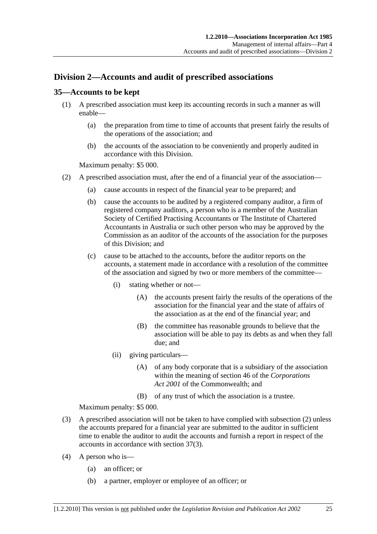## **Division 2—Accounts and audit of prescribed associations**

## **35—Accounts to be kept**

- (1) A prescribed association must keep its accounting records in such a manner as will enable—
	- (a) the preparation from time to time of accounts that present fairly the results of the operations of the association; and
	- (b) the accounts of the association to be conveniently and properly audited in accordance with this Division.

#### Maximum penalty: \$5 000.

- (2) A prescribed association must, after the end of a financial year of the association—
	- (a) cause accounts in respect of the financial year to be prepared; and
	- (b) cause the accounts to be audited by a registered company auditor, a firm of registered company auditors, a person who is a member of the Australian Society of Certified Practising Accountants or The Institute of Chartered Accountants in Australia or such other person who may be approved by the Commission as an auditor of the accounts of the association for the purposes of this Division; and
	- (c) cause to be attached to the accounts, before the auditor reports on the accounts, a statement made in accordance with a resolution of the committee of the association and signed by two or more members of the committee—
		- (i) stating whether or not—
			- (A) the accounts present fairly the results of the operations of the association for the financial year and the state of affairs of the association as at the end of the financial year; and
			- (B) the committee has reasonable grounds to believe that the association will be able to pay its debts as and when they fall due; and
		- (ii) giving particulars—
			- (A) of any body corporate that is a subsidiary of the association within the meaning of section 46 of the *Corporations Act 2001* of the Commonwealth; and
			- (B) of any trust of which the association is a trustee.

Maximum penalty: \$5 000.

- (3) A prescribed association will not be taken to have complied with subsection (2) unless the accounts prepared for a financial year are submitted to the auditor in sufficient time to enable the auditor to audit the accounts and furnish a report in respect of the accounts in accordance with section 37(3).
- (4) A person who is—
	- (a) an officer; or
	- (b) a partner, employer or employee of an officer; or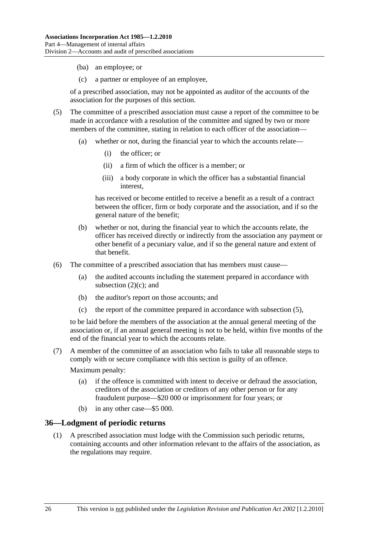- (ba) an employee; or
- (c) a partner or employee of an employee,

of a prescribed association, may not be appointed as auditor of the accounts of the association for the purposes of this section.

- (5) The committee of a prescribed association must cause a report of the committee to be made in accordance with a resolution of the committee and signed by two or more members of the committee, stating in relation to each officer of the association—
	- (a) whether or not, during the financial year to which the accounts relate—
		- (i) the officer; or
		- (ii) a firm of which the officer is a member; or
		- (iii) a body corporate in which the officer has a substantial financial interest,

has received or become entitled to receive a benefit as a result of a contract between the officer, firm or body corporate and the association, and if so the general nature of the benefit;

- (b) whether or not, during the financial year to which the accounts relate, the officer has received directly or indirectly from the association any payment or other benefit of a pecuniary value, and if so the general nature and extent of that benefit.
- (6) The committee of a prescribed association that has members must cause—
	- (a) the audited accounts including the statement prepared in accordance with subsection  $(2)(c)$ ; and
	- (b) the auditor's report on those accounts; and
	- (c) the report of the committee prepared in accordance with subsection (5),

to be laid before the members of the association at the annual general meeting of the association or, if an annual general meeting is not to be held, within five months of the end of the financial year to which the accounts relate.

 (7) A member of the committee of an association who fails to take all reasonable steps to comply with or secure compliance with this section is guilty of an offence.

Maximum penalty:

- (a) if the offence is committed with intent to deceive or defraud the association, creditors of the association or creditors of any other person or for any fraudulent purpose—\$20 000 or imprisonment for four years; or
- (b) in any other case—\$5 000.

#### **36—Lodgment of periodic returns**

 (1) A prescribed association must lodge with the Commission such periodic returns, containing accounts and other information relevant to the affairs of the association, as the regulations may require.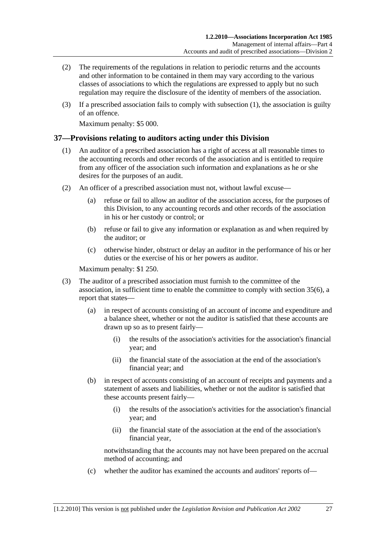- (2) The requirements of the regulations in relation to periodic returns and the accounts and other information to be contained in them may vary according to the various classes of associations to which the regulations are expressed to apply but no such regulation may require the disclosure of the identity of members of the association.
- (3) If a prescribed association fails to comply with subsection (1), the association is guilty of an offence.

Maximum penalty: \$5 000.

### **37—Provisions relating to auditors acting under this Division**

- (1) An auditor of a prescribed association has a right of access at all reasonable times to the accounting records and other records of the association and is entitled to require from any officer of the association such information and explanations as he or she desires for the purposes of an audit.
- (2) An officer of a prescribed association must not, without lawful excuse—
	- (a) refuse or fail to allow an auditor of the association access, for the purposes of this Division, to any accounting records and other records of the association in his or her custody or control; or
	- (b) refuse or fail to give any information or explanation as and when required by the auditor; or
	- (c) otherwise hinder, obstruct or delay an auditor in the performance of his or her duties or the exercise of his or her powers as auditor.

Maximum penalty: \$1 250.

- (3) The auditor of a prescribed association must furnish to the committee of the association, in sufficient time to enable the committee to comply with section 35(6), a report that states—
	- (a) in respect of accounts consisting of an account of income and expenditure and a balance sheet, whether or not the auditor is satisfied that these accounts are drawn up so as to present fairly—
		- (i) the results of the association's activities for the association's financial year; and
		- (ii) the financial state of the association at the end of the association's financial year; and
	- (b) in respect of accounts consisting of an account of receipts and payments and a statement of assets and liabilities, whether or not the auditor is satisfied that these accounts present fairly—
		- (i) the results of the association's activities for the association's financial year; and
		- (ii) the financial state of the association at the end of the association's financial year,

notwithstanding that the accounts may not have been prepared on the accrual method of accounting; and

(c) whether the auditor has examined the accounts and auditors' reports of—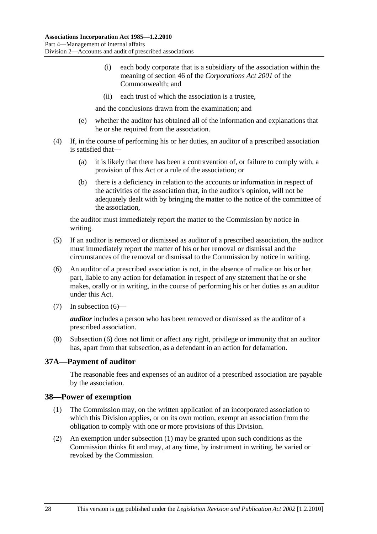- (i) each body corporate that is a subsidiary of the association within the meaning of section 46 of the *Corporations Act 2001* of the Commonwealth; and
- (ii) each trust of which the association is a trustee,

and the conclusions drawn from the examination; and

- (e) whether the auditor has obtained all of the information and explanations that he or she required from the association.
- (4) If, in the course of performing his or her duties, an auditor of a prescribed association is satisfied that—
	- (a) it is likely that there has been a contravention of, or failure to comply with, a provision of this Act or a rule of the association; or
	- (b) there is a deficiency in relation to the accounts or information in respect of the activities of the association that, in the auditor's opinion, will not be adequately dealt with by bringing the matter to the notice of the committee of the association,

the auditor must immediately report the matter to the Commission by notice in writing.

- (5) If an auditor is removed or dismissed as auditor of a prescribed association, the auditor must immediately report the matter of his or her removal or dismissal and the circumstances of the removal or dismissal to the Commission by notice in writing.
- (6) An auditor of a prescribed association is not, in the absence of malice on his or her part, liable to any action for defamation in respect of any statement that he or she makes, orally or in writing, in the course of performing his or her duties as an auditor under this Act.
- (7) In subsection (6)—

*auditor* includes a person who has been removed or dismissed as the auditor of a prescribed association.

 (8) Subsection (6) does not limit or affect any right, privilege or immunity that an auditor has, apart from that subsection, as a defendant in an action for defamation.

## **37A—Payment of auditor**

The reasonable fees and expenses of an auditor of a prescribed association are payable by the association.

#### **38—Power of exemption**

- (1) The Commission may, on the written application of an incorporated association to which this Division applies, or on its own motion, exempt an association from the obligation to comply with one or more provisions of this Division.
- (2) An exemption under subsection (1) may be granted upon such conditions as the Commission thinks fit and may, at any time, by instrument in writing, be varied or revoked by the Commission.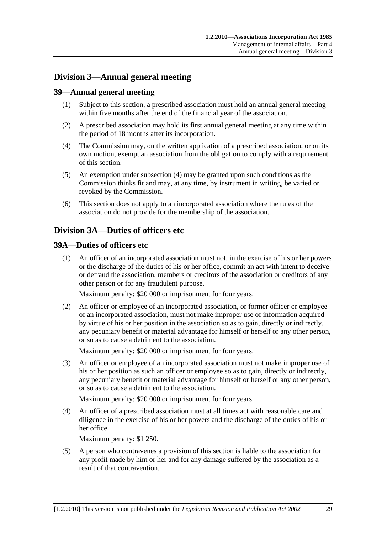## **Division 3—Annual general meeting**

## **39—Annual general meeting**

- (1) Subject to this section, a prescribed association must hold an annual general meeting within five months after the end of the financial year of the association.
- (2) A prescribed association may hold its first annual general meeting at any time within the period of 18 months after its incorporation.
- (4) The Commission may, on the written application of a prescribed association, or on its own motion, exempt an association from the obligation to comply with a requirement of this section.
- (5) An exemption under subsection (4) may be granted upon such conditions as the Commission thinks fit and may, at any time, by instrument in writing, be varied or revoked by the Commission.
- (6) This section does not apply to an incorporated association where the rules of the association do not provide for the membership of the association.

## **Division 3A—Duties of officers etc**

### **39A—Duties of officers etc**

 (1) An officer of an incorporated association must not, in the exercise of his or her powers or the discharge of the duties of his or her office, commit an act with intent to deceive or defraud the association, members or creditors of the association or creditors of any other person or for any fraudulent purpose.

Maximum penalty: \$20 000 or imprisonment for four years.

 (2) An officer or employee of an incorporated association, or former officer or employee of an incorporated association, must not make improper use of information acquired by virtue of his or her position in the association so as to gain, directly or indirectly, any pecuniary benefit or material advantage for himself or herself or any other person, or so as to cause a detriment to the association.

Maximum penalty: \$20 000 or imprisonment for four years.

 (3) An officer or employee of an incorporated association must not make improper use of his or her position as such an officer or employee so as to gain, directly or indirectly, any pecuniary benefit or material advantage for himself or herself or any other person, or so as to cause a detriment to the association.

Maximum penalty: \$20 000 or imprisonment for four years.

 (4) An officer of a prescribed association must at all times act with reasonable care and diligence in the exercise of his or her powers and the discharge of the duties of his or her office.

Maximum penalty: \$1 250.

 (5) A person who contravenes a provision of this section is liable to the association for any profit made by him or her and for any damage suffered by the association as a result of that contravention.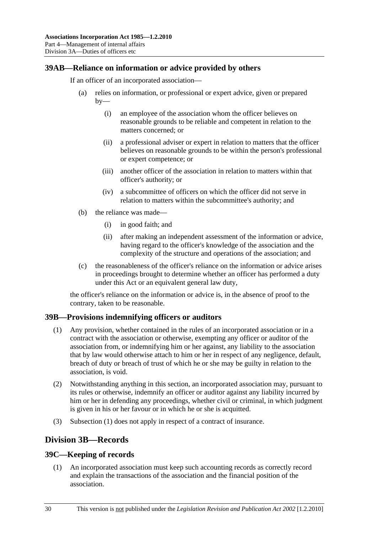## **39AB—Reliance on information or advice provided by others**

If an officer of an incorporated association—

- (a) relies on information, or professional or expert advice, given or prepared  $by-$ 
	- (i) an employee of the association whom the officer believes on reasonable grounds to be reliable and competent in relation to the matters concerned; or
	- (ii) a professional adviser or expert in relation to matters that the officer believes on reasonable grounds to be within the person's professional or expert competence; or
	- (iii) another officer of the association in relation to matters within that officer's authority; or
	- (iv) a subcommittee of officers on which the officer did not serve in relation to matters within the subcommittee's authority; and
- (b) the reliance was made—
	- (i) in good faith; and
	- (ii) after making an independent assessment of the information or advice, having regard to the officer's knowledge of the association and the complexity of the structure and operations of the association; and
- (c) the reasonableness of the officer's reliance on the information or advice arises in proceedings brought to determine whether an officer has performed a duty under this Act or an equivalent general law duty,

the officer's reliance on the information or advice is, in the absence of proof to the contrary, taken to be reasonable.

#### **39B—Provisions indemnifying officers or auditors**

- (1) Any provision, whether contained in the rules of an incorporated association or in a contract with the association or otherwise, exempting any officer or auditor of the association from, or indemnifying him or her against, any liability to the association that by law would otherwise attach to him or her in respect of any negligence, default, breach of duty or breach of trust of which he or she may be guilty in relation to the association, is void.
- (2) Notwithstanding anything in this section, an incorporated association may, pursuant to its rules or otherwise, indemnify an officer or auditor against any liability incurred by him or her in defending any proceedings, whether civil or criminal, in which judgment is given in his or her favour or in which he or she is acquitted.
- (3) Subsection (1) does not apply in respect of a contract of insurance.

## **Division 3B—Records**

#### **39C—Keeping of records**

 (1) An incorporated association must keep such accounting records as correctly record and explain the transactions of the association and the financial position of the association.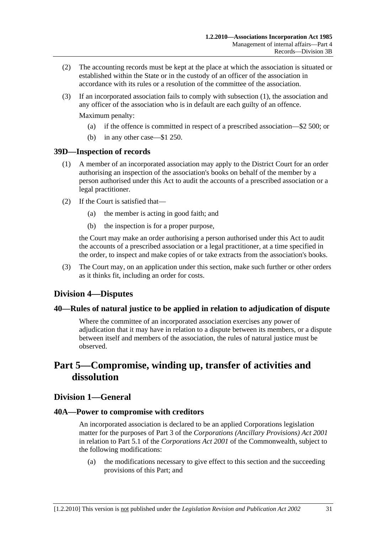- (2) The accounting records must be kept at the place at which the association is situated or established within the State or in the custody of an officer of the association in accordance with its rules or a resolution of the committee of the association.
- (3) If an incorporated association fails to comply with subsection (1), the association and any officer of the association who is in default are each guilty of an offence.

Maximum penalty:

- (a) if the offence is committed in respect of a prescribed association—\$2 500; or
- (b) in any other case—\$1 250.

#### **39D—Inspection of records**

- (1) A member of an incorporated association may apply to the District Court for an order authorising an inspection of the association's books on behalf of the member by a person authorised under this Act to audit the accounts of a prescribed association or a legal practitioner.
- (2) If the Court is satisfied that—
	- (a) the member is acting in good faith; and
	- (b) the inspection is for a proper purpose,

the Court may make an order authorising a person authorised under this Act to audit the accounts of a prescribed association or a legal practitioner, at a time specified in the order, to inspect and make copies of or take extracts from the association's books.

 (3) The Court may, on an application under this section, make such further or other orders as it thinks fit, including an order for costs.

## **Division 4—Disputes**

#### **40—Rules of natural justice to be applied in relation to adjudication of dispute**

Where the committee of an incorporated association exercises any power of adjudication that it may have in relation to a dispute between its members, or a dispute between itself and members of the association, the rules of natural justice must be observed.

## **Part 5—Compromise, winding up, transfer of activities and dissolution**

## **Division 1—General**

#### **40A—Power to compromise with creditors**

An incorporated association is declared to be an applied Corporations legislation matter for the purposes of Part 3 of the *Corporations (Ancillary Provisions) Act 2001* in relation to Part 5.1 of the *Corporations Act 2001* of the Commonwealth, subject to the following modifications:

 (a) the modifications necessary to give effect to this section and the succeeding provisions of this Part; and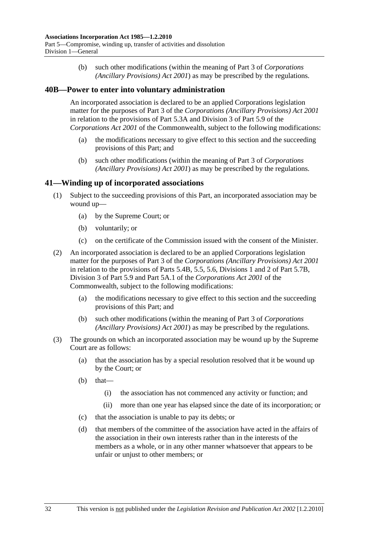(b) such other modifications (within the meaning of Part 3 of *Corporations (Ancillary Provisions) Act 2001*) as may be prescribed by the regulations.

### **40B—Power to enter into voluntary administration**

An incorporated association is declared to be an applied Corporations legislation matter for the purposes of Part 3 of the *Corporations (Ancillary Provisions) Act 2001* in relation to the provisions of Part 5.3A and Division 3 of Part 5.9 of the *Corporations Act 2001* of the Commonwealth, subject to the following modifications:

- (a) the modifications necessary to give effect to this section and the succeeding provisions of this Part; and
- (b) such other modifications (within the meaning of Part 3 of *Corporations (Ancillary Provisions) Act 2001*) as may be prescribed by the regulations.

### **41—Winding up of incorporated associations**

- (1) Subject to the succeeding provisions of this Part, an incorporated association may be wound up—
	- (a) by the Supreme Court; or
	- (b) voluntarily; or
	- (c) on the certificate of the Commission issued with the consent of the Minister.
- (2) An incorporated association is declared to be an applied Corporations legislation matter for the purposes of Part 3 of the *Corporations (Ancillary Provisions) Act 2001* in relation to the provisions of Parts 5.4B, 5.5, 5.6, Divisions 1 and 2 of Part 5.7B, Division 3 of Part 5.9 and Part 5A.1 of the *Corporations Act 2001* of the Commonwealth, subject to the following modifications:
	- (a) the modifications necessary to give effect to this section and the succeeding provisions of this Part; and
	- (b) such other modifications (within the meaning of Part 3 of *Corporations (Ancillary Provisions) Act 2001*) as may be prescribed by the regulations.
- (3) The grounds on which an incorporated association may be wound up by the Supreme Court are as follows:
	- (a) that the association has by a special resolution resolved that it be wound up by the Court; or
	- (b) that—
		- (i) the association has not commenced any activity or function; and
		- (ii) more than one year has elapsed since the date of its incorporation; or
	- (c) that the association is unable to pay its debts; or
	- (d) that members of the committee of the association have acted in the affairs of the association in their own interests rather than in the interests of the members as a whole, or in any other manner whatsoever that appears to be unfair or unjust to other members; or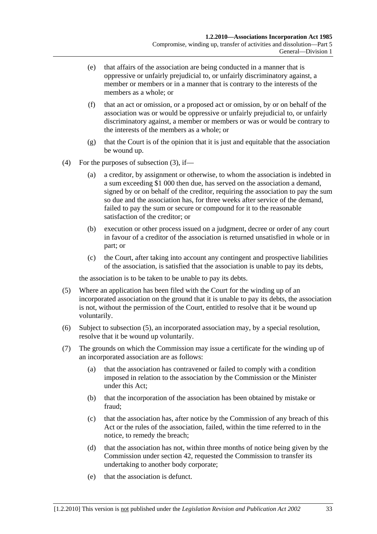- (e) that affairs of the association are being conducted in a manner that is oppressive or unfairly prejudicial to, or unfairly discriminatory against, a member or members or in a manner that is contrary to the interests of the members as a whole; or
- (f) that an act or omission, or a proposed act or omission, by or on behalf of the association was or would be oppressive or unfairly prejudicial to, or unfairly discriminatory against, a member or members or was or would be contrary to the interests of the members as a whole; or
- (g) that the Court is of the opinion that it is just and equitable that the association be wound up.
- (4) For the purposes of subsection (3), if—
	- (a) a creditor, by assignment or otherwise, to whom the association is indebted in a sum exceeding \$1 000 then due, has served on the association a demand, signed by or on behalf of the creditor, requiring the association to pay the sum so due and the association has, for three weeks after service of the demand, failed to pay the sum or secure or compound for it to the reasonable satisfaction of the creditor; or
	- (b) execution or other process issued on a judgment, decree or order of any court in favour of a creditor of the association is returned unsatisfied in whole or in part; or
	- (c) the Court, after taking into account any contingent and prospective liabilities of the association, is satisfied that the association is unable to pay its debts,

the association is to be taken to be unable to pay its debts.

- (5) Where an application has been filed with the Court for the winding up of an incorporated association on the ground that it is unable to pay its debts, the association is not, without the permission of the Court, entitled to resolve that it be wound up voluntarily.
- (6) Subject to subsection (5), an incorporated association may, by a special resolution, resolve that it be wound up voluntarily.
- (7) The grounds on which the Commission may issue a certificate for the winding up of an incorporated association are as follows:
	- (a) that the association has contravened or failed to comply with a condition imposed in relation to the association by the Commission or the Minister under this Act;
	- (b) that the incorporation of the association has been obtained by mistake or fraud;
	- (c) that the association has, after notice by the Commission of any breach of this Act or the rules of the association, failed, within the time referred to in the notice, to remedy the breach;
	- (d) that the association has not, within three months of notice being given by the Commission under section 42, requested the Commission to transfer its undertaking to another body corporate;
	- (e) that the association is defunct.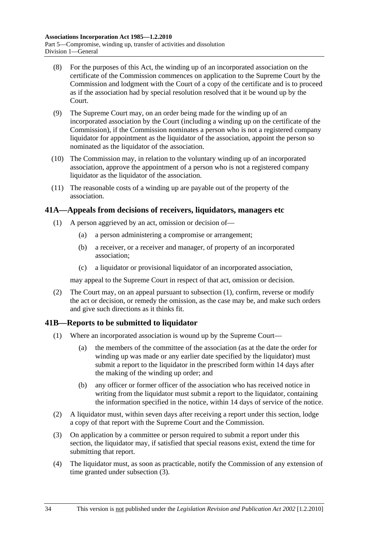- (8) For the purposes of this Act, the winding up of an incorporated association on the certificate of the Commission commences on application to the Supreme Court by the Commission and lodgment with the Court of a copy of the certificate and is to proceed as if the association had by special resolution resolved that it be wound up by the Court.
- (9) The Supreme Court may, on an order being made for the winding up of an incorporated association by the Court (including a winding up on the certificate of the Commission), if the Commission nominates a person who is not a registered company liquidator for appointment as the liquidator of the association, appoint the person so nominated as the liquidator of the association.
- (10) The Commission may, in relation to the voluntary winding up of an incorporated association, approve the appointment of a person who is not a registered company liquidator as the liquidator of the association.
- (11) The reasonable costs of a winding up are payable out of the property of the association.

## **41A—Appeals from decisions of receivers, liquidators, managers etc**

- (1) A person aggrieved by an act, omission or decision of—
	- (a) a person administering a compromise or arrangement;
	- (b) a receiver, or a receiver and manager, of property of an incorporated association;
	- (c) a liquidator or provisional liquidator of an incorporated association,

may appeal to the Supreme Court in respect of that act, omission or decision.

 (2) The Court may, on an appeal pursuant to subsection (1), confirm, reverse or modify the act or decision, or remedy the omission, as the case may be, and make such orders and give such directions as it thinks fit.

## **41B—Reports to be submitted to liquidator**

- (1) Where an incorporated association is wound up by the Supreme Court—
	- (a) the members of the committee of the association (as at the date the order for winding up was made or any earlier date specified by the liquidator) must submit a report to the liquidator in the prescribed form within 14 days after the making of the winding up order; and
	- (b) any officer or former officer of the association who has received notice in writing from the liquidator must submit a report to the liquidator, containing the information specified in the notice, within 14 days of service of the notice.
- (2) A liquidator must, within seven days after receiving a report under this section, lodge a copy of that report with the Supreme Court and the Commission.
- (3) On application by a committee or person required to submit a report under this section, the liquidator may, if satisfied that special reasons exist, extend the time for submitting that report.
- (4) The liquidator must, as soon as practicable, notify the Commission of any extension of time granted under subsection (3).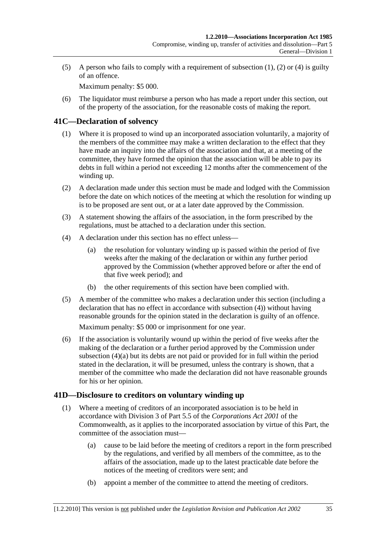(5) A person who fails to comply with a requirement of subsection (1), (2) or (4) is guilty of an offence.

Maximum penalty: \$5 000.

 (6) The liquidator must reimburse a person who has made a report under this section, out of the property of the association, for the reasonable costs of making the report.

## **41C—Declaration of solvency**

- (1) Where it is proposed to wind up an incorporated association voluntarily, a majority of the members of the committee may make a written declaration to the effect that they have made an inquiry into the affairs of the association and that, at a meeting of the committee, they have formed the opinion that the association will be able to pay its debts in full within a period not exceeding 12 months after the commencement of the winding up.
- (2) A declaration made under this section must be made and lodged with the Commission before the date on which notices of the meeting at which the resolution for winding up is to be proposed are sent out, or at a later date approved by the Commission.
- (3) A statement showing the affairs of the association, in the form prescribed by the regulations, must be attached to a declaration under this section.
- (4) A declaration under this section has no effect unless—
	- (a) the resolution for voluntary winding up is passed within the period of five weeks after the making of the declaration or within any further period approved by the Commission (whether approved before or after the end of that five week period); and
	- (b) the other requirements of this section have been complied with.
- (5) A member of the committee who makes a declaration under this section (including a declaration that has no effect in accordance with subsection (4)) without having reasonable grounds for the opinion stated in the declaration is guilty of an offence.

Maximum penalty: \$5 000 or imprisonment for one year.

 (6) If the association is voluntarily wound up within the period of five weeks after the making of the declaration or a further period approved by the Commission under subsection (4)(a) but its debts are not paid or provided for in full within the period stated in the declaration, it will be presumed, unless the contrary is shown, that a member of the committee who made the declaration did not have reasonable grounds for his or her opinion.

## **41D—Disclosure to creditors on voluntary winding up**

- (1) Where a meeting of creditors of an incorporated association is to be held in accordance with Division 3 of Part 5.5 of the *Corporations Act 2001* of the Commonwealth, as it applies to the incorporated association by virtue of this Part, the committee of the association must—
	- (a) cause to be laid before the meeting of creditors a report in the form prescribed by the regulations, and verified by all members of the committee, as to the affairs of the association, made up to the latest practicable date before the notices of the meeting of creditors were sent; and
	- (b) appoint a member of the committee to attend the meeting of creditors.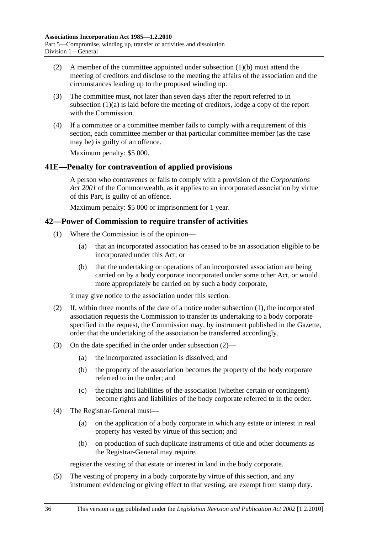- (2) A member of the committee appointed under subsection (1)(b) must attend the meeting of creditors and disclose to the meeting the affairs of the association and the circumstances leading up to the proposed winding up.
- (3) The committee must, not later than seven days after the report referred to in subsection (1)(a) is laid before the meeting of creditors, lodge a copy of the report with the Commission.
- (4) If a committee or a committee member fails to comply with a requirement of this section, each committee member or that particular committee member (as the case may be) is guilty of an offence.

Maximum penalty: \$5 000.

### **41E—Penalty for contravention of applied provisions**

A person who contravenes or fails to comply with a provision of the *Corporations Act 2001* of the Commonwealth, as it applies to an incorporated association by virtue of this Part, is guilty of an offence.

Maximum penalty: \$5 000 or imprisonment for 1 year.

### **42—Power of Commission to require transfer of activities**

- (1) Where the Commission is of the opinion—
	- (a) that an incorporated association has ceased to be an association eligible to be incorporated under this Act; or
	- (b) that the undertaking or operations of an incorporated association are being carried on by a body corporate incorporated under some other Act, or would more appropriately be carried on by such a body corporate,

it may give notice to the association under this section.

- (2) If, within three months of the date of a notice under subsection (1), the incorporated association requests the Commission to transfer its undertaking to a body corporate specified in the request, the Commission may, by instrument published in the Gazette, order that the undertaking of the association be transferred accordingly.
- (3) On the date specified in the order under subsection (2)—
	- (a) the incorporated association is dissolved; and
	- (b) the property of the association becomes the property of the body corporate referred to in the order; and
	- (c) the rights and liabilities of the association (whether certain or contingent) become rights and liabilities of the body corporate referred to in the order.
- (4) The Registrar-General must—
	- (a) on the application of a body corporate in which any estate or interest in real property has vested by virtue of this section; and
	- (b) on production of such duplicate instruments of title and other documents as the Registrar-General may require,

register the vesting of that estate or interest in land in the body corporate.

 (5) The vesting of property in a body corporate by virtue of this section, and any instrument evidencing or giving effect to that vesting, are exempt from stamp duty.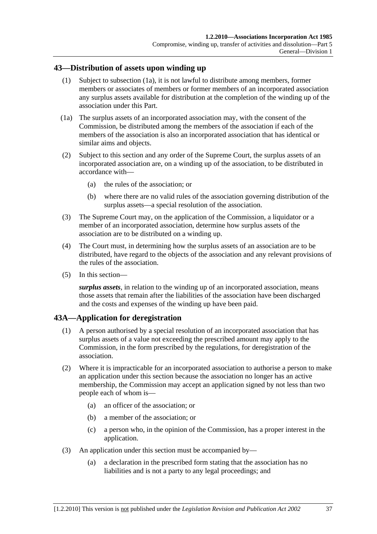### **43—Distribution of assets upon winding up**

- (1) Subject to subsection (1a), it is not lawful to distribute among members, former members or associates of members or former members of an incorporated association any surplus assets available for distribution at the completion of the winding up of the association under this Part.
- (1a) The surplus assets of an incorporated association may, with the consent of the Commission, be distributed among the members of the association if each of the members of the association is also an incorporated association that has identical or similar aims and objects.
- (2) Subject to this section and any order of the Supreme Court, the surplus assets of an incorporated association are, on a winding up of the association, to be distributed in accordance with—
	- (a) the rules of the association; or
	- (b) where there are no valid rules of the association governing distribution of the surplus assets—a special resolution of the association.
- (3) The Supreme Court may, on the application of the Commission, a liquidator or a member of an incorporated association, determine how surplus assets of the association are to be distributed on a winding up.
- (4) The Court must, in determining how the surplus assets of an association are to be distributed, have regard to the objects of the association and any relevant provisions of the rules of the association.
- (5) In this section—

*surplus assets*, in relation to the winding up of an incorporated association, means those assets that remain after the liabilities of the association have been discharged and the costs and expenses of the winding up have been paid.

## **43A—Application for deregistration**

- (1) A person authorised by a special resolution of an incorporated association that has surplus assets of a value not exceeding the prescribed amount may apply to the Commission, in the form prescribed by the regulations, for deregistration of the association.
- (2) Where it is impracticable for an incorporated association to authorise a person to make an application under this section because the association no longer has an active membership, the Commission may accept an application signed by not less than two people each of whom is—
	- (a) an officer of the association; or
	- (b) a member of the association; or
	- (c) a person who, in the opinion of the Commission, has a proper interest in the application.
- (3) An application under this section must be accompanied by—
	- (a) a declaration in the prescribed form stating that the association has no liabilities and is not a party to any legal proceedings; and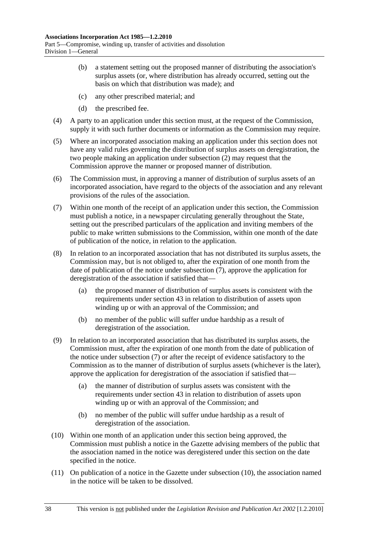- (b) a statement setting out the proposed manner of distributing the association's surplus assets (or, where distribution has already occurred, setting out the basis on which that distribution was made); and
- (c) any other prescribed material; and
- (d) the prescribed fee.
- (4) A party to an application under this section must, at the request of the Commission, supply it with such further documents or information as the Commission may require.
- (5) Where an incorporated association making an application under this section does not have any valid rules governing the distribution of surplus assets on deregistration, the two people making an application under subsection (2) may request that the Commission approve the manner or proposed manner of distribution.
- (6) The Commission must, in approving a manner of distribution of surplus assets of an incorporated association, have regard to the objects of the association and any relevant provisions of the rules of the association.
- (7) Within one month of the receipt of an application under this section, the Commission must publish a notice, in a newspaper circulating generally throughout the State, setting out the prescribed particulars of the application and inviting members of the public to make written submissions to the Commission, within one month of the date of publication of the notice, in relation to the application.
- (8) In relation to an incorporated association that has not distributed its surplus assets, the Commission may, but is not obliged to, after the expiration of one month from the date of publication of the notice under subsection (7), approve the application for deregistration of the association if satisfied that—
	- (a) the proposed manner of distribution of surplus assets is consistent with the requirements under section 43 in relation to distribution of assets upon winding up or with an approval of the Commission; and
	- (b) no member of the public will suffer undue hardship as a result of deregistration of the association.
- (9) In relation to an incorporated association that has distributed its surplus assets, the Commission must, after the expiration of one month from the date of publication of the notice under subsection (7) or after the receipt of evidence satisfactory to the Commission as to the manner of distribution of surplus assets (whichever is the later), approve the application for deregistration of the association if satisfied that—
	- (a) the manner of distribution of surplus assets was consistent with the requirements under section 43 in relation to distribution of assets upon winding up or with an approval of the Commission; and
	- (b) no member of the public will suffer undue hardship as a result of deregistration of the association.
- (10) Within one month of an application under this section being approved, the Commission must publish a notice in the Gazette advising members of the public that the association named in the notice was deregistered under this section on the date specified in the notice.
- (11) On publication of a notice in the Gazette under subsection (10), the association named in the notice will be taken to be dissolved.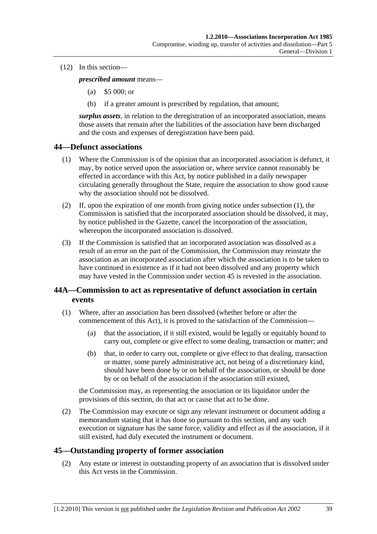#### (12) In this section—

*prescribed amount* means—

- (a) \$5 000; or
- (b) if a greater amount is prescribed by regulation, that amount;

*surplus assets*, in relation to the deregistration of an incorporated association, means those assets that remain after the liabilities of the association have been discharged and the costs and expenses of deregistration have been paid.

### **44—Defunct associations**

- (1) Where the Commission is of the opinion that an incorporated association is defunct, it may, by notice served upon the association or, where service cannot reasonably be effected in accordance with this Act, by notice published in a daily newspaper circulating generally throughout the State, require the association to show good cause why the association should not be dissolved.
- (2) If, upon the expiration of one month from giving notice under subsection (1), the Commission is satisfied that the incorporated association should be dissolved, it may, by notice published in the Gazette, cancel the incorporation of the association, whereupon the incorporated association is dissolved.
- (3) If the Commission is satisfied that an incorporated association was dissolved as a result of an error on the part of the Commission, the Commission may reinstate the association as an incorporated association after which the association is to be taken to have continued in existence as if it had not been dissolved and any property which may have vested in the Commission under section 45 is revested in the association.

## **44A—Commission to act as representative of defunct association in certain events**

- (1) Where, after an association has been dissolved (whether before or after the commencement of this Act), it is proved to the satisfaction of the Commission—
	- (a) that the association, if it still existed, would be legally or equitably bound to carry out, complete or give effect to some dealing, transaction or matter; and
	- (b) that, in order to carry out, complete or give effect to that dealing, transaction or matter, some purely administrative act, not being of a discretionary kind, should have been done by or on behalf of the association, or should be done by or on behalf of the association if the association still existed,

the Commission may, as representing the association or its liquidator under the provisions of this section, do that act or cause that act to be done.

 (2) The Commission may execute or sign any relevant instrument or document adding a memorandum stating that it has done so pursuant to this section, and any such execution or signature has the same force, validity and effect as if the association, if it still existed, had duly executed the instrument or document.

## **45—Outstanding property of former association**

 (2) Any estate or interest in outstanding property of an association that is dissolved under this Act vests in the Commission.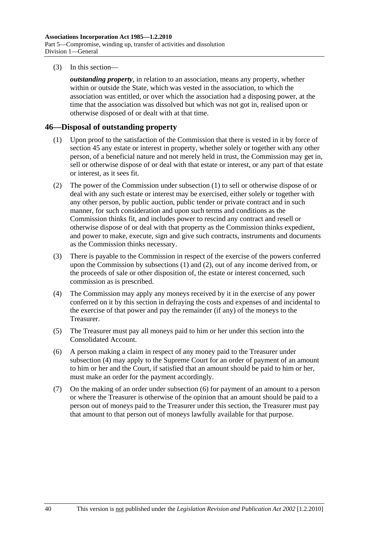(3) In this section—

*outstanding property*, in relation to an association, means any property, whether within or outside the State, which was vested in the association, to which the association was entitled, or over which the association had a disposing power, at the time that the association was dissolved but which was not got in, realised upon or otherwise disposed of or dealt with at that time.

## **46—Disposal of outstanding property**

- (1) Upon proof to the satisfaction of the Commission that there is vested in it by force of section 45 any estate or interest in property, whether solely or together with any other person, of a beneficial nature and not merely held in trust, the Commission may get in, sell or otherwise dispose of or deal with that estate or interest, or any part of that estate or interest, as it sees fit.
- (2) The power of the Commission under subsection (1) to sell or otherwise dispose of or deal with any such estate or interest may be exercised, either solely or together with any other person, by public auction, public tender or private contract and in such manner, for such consideration and upon such terms and conditions as the Commission thinks fit, and includes power to rescind any contract and resell or otherwise dispose of or deal with that property as the Commission thinks expedient, and power to make, execute, sign and give such contracts, instruments and documents as the Commission thinks necessary.
- (3) There is payable to the Commission in respect of the exercise of the powers conferred upon the Commission by subsections (1) and (2), out of any income derived from, or the proceeds of sale or other disposition of, the estate or interest concerned, such commission as is prescribed.
- (4) The Commission may apply any moneys received by it in the exercise of any power conferred on it by this section in defraying the costs and expenses of and incidental to the exercise of that power and pay the remainder (if any) of the moneys to the Treasurer.
- (5) The Treasurer must pay all moneys paid to him or her under this section into the Consolidated Account.
- (6) A person making a claim in respect of any money paid to the Treasurer under subsection (4) may apply to the Supreme Court for an order of payment of an amount to him or her and the Court, if satisfied that an amount should be paid to him or her, must make an order for the payment accordingly.
- (7) On the making of an order under subsection (6) for payment of an amount to a person or where the Treasurer is otherwise of the opinion that an amount should be paid to a person out of moneys paid to the Treasurer under this section, the Treasurer must pay that amount to that person out of moneys lawfully available for that purpose.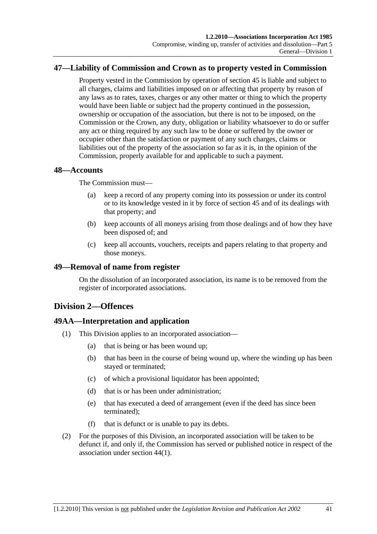## **47—Liability of Commission and Crown as to property vested in Commission**

Property vested in the Commission by operation of section 45 is liable and subject to all charges, claims and liabilities imposed on or affecting that property by reason of any laws as to rates, taxes, charges or any other matter or thing to which the property would have been liable or subject had the property continued in the possession, ownership or occupation of the association, but there is not to be imposed, on the Commission or the Crown, any duty, obligation or liability whatsoever to do or suffer any act or thing required by any such law to be done or suffered by the owner or occupier other than the satisfaction or payment of any such charges, claims or liabilities out of the property of the association so far as it is, in the opinion of the Commission, properly available for and applicable to such a payment.

### **48—Accounts**

The Commission must—

- (a) keep a record of any property coming into its possession or under its control or to its knowledge vested in it by force of section 45 and of its dealings with that property; and
- (b) keep accounts of all moneys arising from those dealings and of how they have been disposed of; and
- (c) keep all accounts, vouchers, receipts and papers relating to that property and those moneys.

#### **49—Removal of name from register**

On the dissolution of an incorporated association, its name is to be removed from the register of incorporated associations.

## **Division 2—Offences**

## **49AA—Interpretation and application**

- (1) This Division applies to an incorporated association—
	- (a) that is being or has been wound up;
	- (b) that has been in the course of being wound up, where the winding up has been stayed or terminated;
	- (c) of which a provisional liquidator has been appointed;
	- (d) that is or has been under administration;
	- (e) that has executed a deed of arrangement (even if the deed has since been terminated);
	- (f) that is defunct or is unable to pay its debts.
- (2) For the purposes of this Division, an incorporated association will be taken to be defunct if, and only if, the Commission has served or published notice in respect of the association under section 44(1).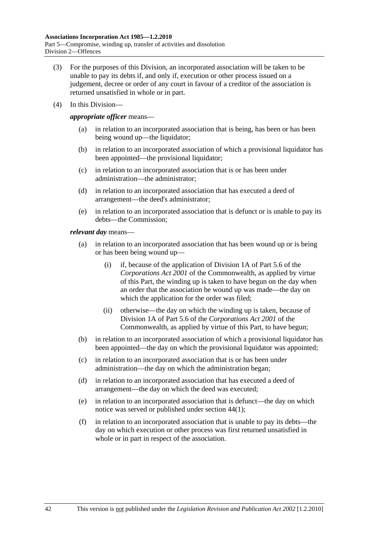- (3) For the purposes of this Division, an incorporated association will be taken to be unable to pay its debts if, and only if, execution or other process issued on a judgement, decree or order of any court in favour of a creditor of the association is returned unsatisfied in whole or in part.
- (4) In this Division—

*appropriate officer* means—

- (a) in relation to an incorporated association that is being, has been or has been being wound up—the liquidator;
- (b) in relation to an incorporated association of which a provisional liquidator has been appointed—the provisional liquidator;
- (c) in relation to an incorporated association that is or has been under administration—the administrator;
- (d) in relation to an incorporated association that has executed a deed of arrangement—the deed's administrator;
- (e) in relation to an incorporated association that is defunct or is unable to pay its debts—the Commission;

#### *relevant day* means—

- (a) in relation to an incorporated association that has been wound up or is being or has been being wound up—
	- (i) if, because of the application of Division 1A of Part 5.6 of the *Corporations Act 2001* of the Commonwealth, as applied by virtue of this Part, the winding up is taken to have begun on the day when an order that the association be wound up was made—the day on which the application for the order was filed;
	- (ii) otherwise—the day on which the winding up is taken, because of Division 1A of Part 5.6 of the *Corporations Act 2001* of the Commonwealth, as applied by virtue of this Part, to have begun;
- (b) in relation to an incorporated association of which a provisional liquidator has been appointed—the day on which the provisional liquidator was appointed;
- (c) in relation to an incorporated association that is or has been under administration—the day on which the administration began;
- (d) in relation to an incorporated association that has executed a deed of arrangement—the day on which the deed was executed;
- (e) in relation to an incorporated association that is defunct—the day on which notice was served or published under section 44(1);
- (f) in relation to an incorporated association that is unable to pay its debts—the day on which execution or other process was first returned unsatisfied in whole or in part in respect of the association.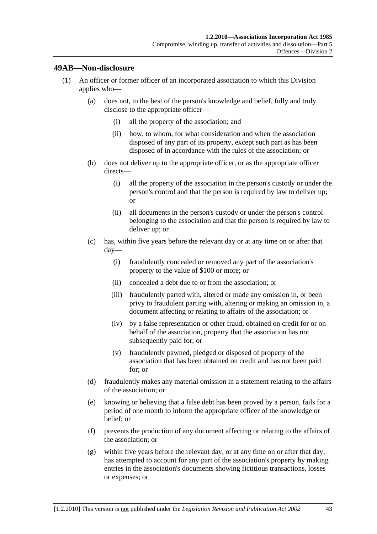### **49AB—Non-disclosure**

- (1) An officer or former officer of an incorporated association to which this Division applies who—
	- (a) does not, to the best of the person's knowledge and belief, fully and truly disclose to the appropriate officer—
		- (i) all the property of the association; and
		- (ii) how, to whom, for what consideration and when the association disposed of any part of its property, except such part as has been disposed of in accordance with the rules of the association; or
	- (b) does not deliver up to the appropriate officer, or as the appropriate officer directs—
		- (i) all the property of the association in the person's custody or under the person's control and that the person is required by law to deliver up; or
		- (ii) all documents in the person's custody or under the person's control belonging to the association and that the person is required by law to deliver up; or
	- (c) has, within five years before the relevant day or at any time on or after that day—
		- (i) fraudulently concealed or removed any part of the association's property to the value of \$100 or more; or
		- (ii) concealed a debt due to or from the association; or
		- (iii) fraudulently parted with, altered or made any omission in, or been privy to fraudulent parting with, altering or making an omission in, a document affecting or relating to affairs of the association; or
		- (iv) by a false representation or other fraud, obtained on credit for or on behalf of the association, property that the association has not subsequently paid for; or
		- (v) fraudulently pawned, pledged or disposed of property of the association that has been obtained on credit and has not been paid for; or
	- (d) fraudulently makes any material omission in a statement relating to the affairs of the association; or
	- (e) knowing or believing that a false debt has been proved by a person, fails for a period of one month to inform the appropriate officer of the knowledge or belief; or
	- (f) prevents the production of any document affecting or relating to the affairs of the association; or
	- (g) within five years before the relevant day, or at any time on or after that day, has attempted to account for any part of the association's property by making entries in the association's documents showing fictitious transactions, losses or expenses; or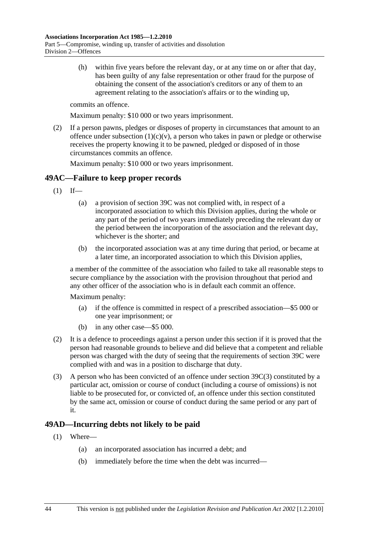(h) within five years before the relevant day, or at any time on or after that day, has been guilty of any false representation or other fraud for the purpose of obtaining the consent of the association's creditors or any of them to an agreement relating to the association's affairs or to the winding up,

commits an offence.

Maximum penalty: \$10 000 or two years imprisonment.

 (2) If a person pawns, pledges or disposes of property in circumstances that amount to an offence under subsection  $(1)(c)(v)$ , a person who takes in pawn or pledge or otherwise receives the property knowing it to be pawned, pledged or disposed of in those circumstances commits an offence.

Maximum penalty: \$10 000 or two years imprisonment.

## **49AC—Failure to keep proper records**

- $(1)$  If—
	- (a) a provision of section 39C was not complied with, in respect of a incorporated association to which this Division applies, during the whole or any part of the period of two years immediately preceding the relevant day or the period between the incorporation of the association and the relevant day, whichever is the shorter; and
	- (b) the incorporated association was at any time during that period, or became at a later time, an incorporated association to which this Division applies,

a member of the committee of the association who failed to take all reasonable steps to secure compliance by the association with the provision throughout that period and any other officer of the association who is in default each commit an offence.

Maximum penalty:

- (a) if the offence is committed in respect of a prescribed association—\$5 000 or one year imprisonment; or
- (b) in any other case—\$5 000.
- (2) It is a defence to proceedings against a person under this section if it is proved that the person had reasonable grounds to believe and did believe that a competent and reliable person was charged with the duty of seeing that the requirements of section 39C were complied with and was in a position to discharge that duty.
- (3) A person who has been convicted of an offence under section 39C(3) constituted by a particular act, omission or course of conduct (including a course of omissions) is not liable to be prosecuted for, or convicted of, an offence under this section constituted by the same act, omission or course of conduct during the same period or any part of it.

## **49AD—Incurring debts not likely to be paid**

- (1) Where—
	- (a) an incorporated association has incurred a debt; and
	- (b) immediately before the time when the debt was incurred—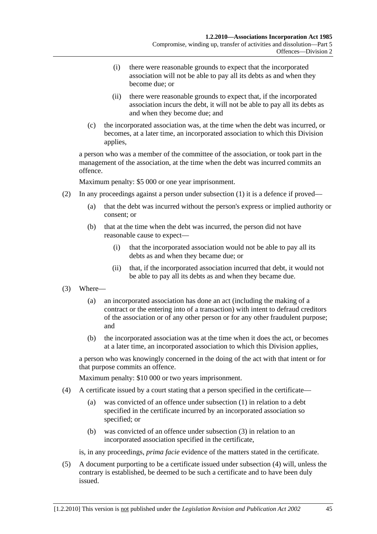- (i) there were reasonable grounds to expect that the incorporated association will not be able to pay all its debts as and when they become due; or
- (ii) there were reasonable grounds to expect that, if the incorporated association incurs the debt, it will not be able to pay all its debts as and when they become due; and
- (c) the incorporated association was, at the time when the debt was incurred, or becomes, at a later time, an incorporated association to which this Division applies,

a person who was a member of the committee of the association, or took part in the management of the association, at the time when the debt was incurred commits an offence.

Maximum penalty: \$5 000 or one year imprisonment.

- (2) In any proceedings against a person under subsection (1) it is a defence if proved—
	- (a) that the debt was incurred without the person's express or implied authority or consent; or
	- (b) that at the time when the debt was incurred, the person did not have reasonable cause to expect—
		- (i) that the incorporated association would not be able to pay all its debts as and when they became due; or
		- (ii) that, if the incorporated association incurred that debt, it would not be able to pay all its debts as and when they became due.
- (3) Where—
	- (a) an incorporated association has done an act (including the making of a contract or the entering into of a transaction) with intent to defraud creditors of the association or of any other person or for any other fraudulent purpose; and
	- (b) the incorporated association was at the time when it does the act, or becomes at a later time, an incorporated association to which this Division applies,

a person who was knowingly concerned in the doing of the act with that intent or for that purpose commits an offence.

Maximum penalty: \$10 000 or two years imprisonment.

- (4) A certificate issued by a court stating that a person specified in the certificate—
	- (a) was convicted of an offence under subsection (1) in relation to a debt specified in the certificate incurred by an incorporated association so specified; or
	- (b) was convicted of an offence under subsection (3) in relation to an incorporated association specified in the certificate,

is, in any proceedings, *prima facie* evidence of the matters stated in the certificate.

 (5) A document purporting to be a certificate issued under subsection (4) will, unless the contrary is established, be deemed to be such a certificate and to have been duly issued.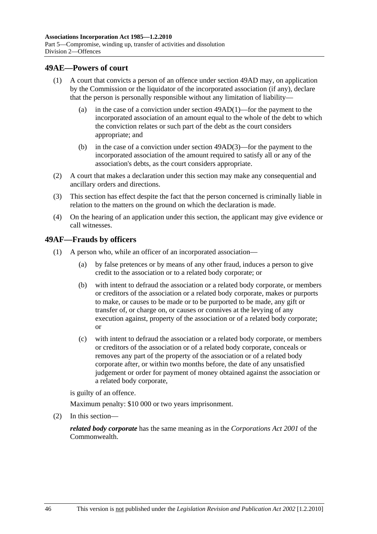### **49AE—Powers of court**

- (1) A court that convicts a person of an offence under section 49AD may, on application by the Commission or the liquidator of the incorporated association (if any), declare that the person is personally responsible without any limitation of liability—
	- (a) in the case of a conviction under section 49AD(1)—for the payment to the incorporated association of an amount equal to the whole of the debt to which the conviction relates or such part of the debt as the court considers appropriate; and
	- (b) in the case of a conviction under section 49AD(3)—for the payment to the incorporated association of the amount required to satisfy all or any of the association's debts, as the court considers appropriate.
- (2) A court that makes a declaration under this section may make any consequential and ancillary orders and directions.
- (3) This section has effect despite the fact that the person concerned is criminally liable in relation to the matters on the ground on which the declaration is made.
- (4) On the hearing of an application under this section, the applicant may give evidence or call witnesses.

### **49AF—Frauds by officers**

- (1) A person who, while an officer of an incorporated association—
	- (a) by false pretences or by means of any other fraud, induces a person to give credit to the association or to a related body corporate; or
	- (b) with intent to defraud the association or a related body corporate, or members or creditors of the association or a related body corporate, makes or purports to make, or causes to be made or to be purported to be made, any gift or transfer of, or charge on, or causes or connives at the levying of any execution against, property of the association or of a related body corporate; or
	- (c) with intent to defraud the association or a related body corporate, or members or creditors of the association or of a related body corporate, conceals or removes any part of the property of the association or of a related body corporate after, or within two months before, the date of any unsatisfied judgement or order for payment of money obtained against the association or a related body corporate,

is guilty of an offence.

Maximum penalty: \$10 000 or two years imprisonment.

(2) In this section—

*related body corporate* has the same meaning as in the *Corporations Act 2001* of the Commonwealth.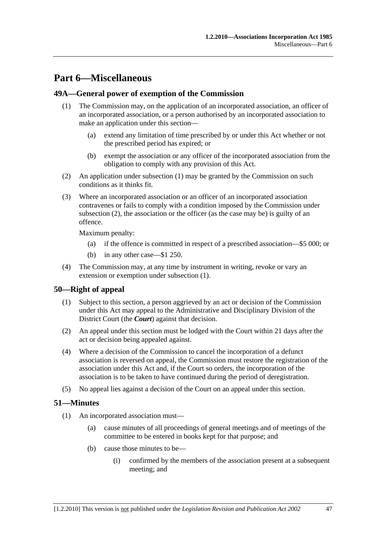# **Part 6—Miscellaneous**

## **49A—General power of exemption of the Commission**

- (1) The Commission may, on the application of an incorporated association, an officer of an incorporated association, or a person authorised by an incorporated association to make an application under this section—
	- (a) extend any limitation of time prescribed by or under this Act whether or not the prescribed period has expired; or
	- (b) exempt the association or any officer of the incorporated association from the obligation to comply with any provision of this Act.
- (2) An application under subsection (1) may be granted by the Commission on such conditions as it thinks fit.
- (3) Where an incorporated association or an officer of an incorporated association contravenes or fails to comply with a condition imposed by the Commission under subsection (2), the association or the officer (as the case may be) is guilty of an offence.

Maximum penalty:

- (a) if the offence is committed in respect of a prescribed association—\$5 000; or
- (b) in any other case—\$1 250.
- (4) The Commission may, at any time by instrument in writing, revoke or vary an extension or exemption under subsection (1).

## **50—Right of appeal**

- (1) Subject to this section, a person aggrieved by an act or decision of the Commission under this Act may appeal to the Administrative and Disciplinary Division of the District Court (the *Court*) against that decision.
- (2) An appeal under this section must be lodged with the Court within 21 days after the act or decision being appealed against.
- (4) Where a decision of the Commission to cancel the incorporation of a defunct association is reversed on appeal, the Commission must restore the registration of the association under this Act and, if the Court so orders, the incorporation of the association is to be taken to have continued during the period of deregistration.
- (5) No appeal lies against a decision of the Court on an appeal under this section.

## **51—Minutes**

- (1) An incorporated association must—
	- (a) cause minutes of all proceedings of general meetings and of meetings of the committee to be entered in books kept for that purpose; and
	- (b) cause those minutes to be—
		- (i) confirmed by the members of the association present at a subsequent meeting; and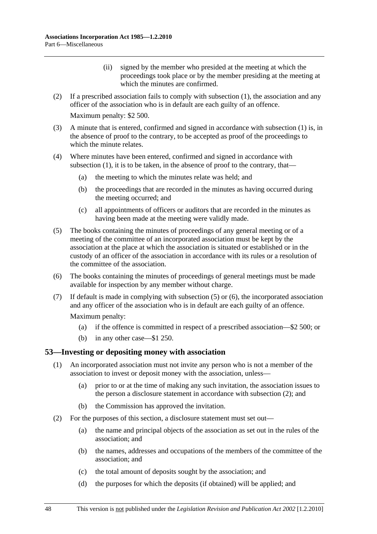- (ii) signed by the member who presided at the meeting at which the proceedings took place or by the member presiding at the meeting at which the minutes are confirmed.
- (2) If a prescribed association fails to comply with subsection (1), the association and any officer of the association who is in default are each guilty of an offence.

Maximum penalty: \$2 500.

- (3) A minute that is entered, confirmed and signed in accordance with subsection (1) is, in the absence of proof to the contrary, to be accepted as proof of the proceedings to which the minute relates.
- (4) Where minutes have been entered, confirmed and signed in accordance with subsection (1), it is to be taken, in the absence of proof to the contrary, that—
	- (a) the meeting to which the minutes relate was held; and
	- (b) the proceedings that are recorded in the minutes as having occurred during the meeting occurred; and
	- (c) all appointments of officers or auditors that are recorded in the minutes as having been made at the meeting were validly made.
- (5) The books containing the minutes of proceedings of any general meeting or of a meeting of the committee of an incorporated association must be kept by the association at the place at which the association is situated or established or in the custody of an officer of the association in accordance with its rules or a resolution of the committee of the association.
- (6) The books containing the minutes of proceedings of general meetings must be made available for inspection by any member without charge.
- (7) If default is made in complying with subsection (5) or (6), the incorporated association and any officer of the association who is in default are each guilty of an offence. Maximum penalty:
	- (a) if the offence is committed in respect of a prescribed association—\$2 500; or
	- (b) in any other case—\$1 250.

#### **53—Investing or depositing money with association**

- (1) An incorporated association must not invite any person who is not a member of the association to invest or deposit money with the association, unless—
	- (a) prior to or at the time of making any such invitation, the association issues to the person a disclosure statement in accordance with subsection (2); and
	- (b) the Commission has approved the invitation.
- (2) For the purposes of this section, a disclosure statement must set out—
	- (a) the name and principal objects of the association as set out in the rules of the association; and
	- (b) the names, addresses and occupations of the members of the committee of the association; and
	- (c) the total amount of deposits sought by the association; and
	- (d) the purposes for which the deposits (if obtained) will be applied; and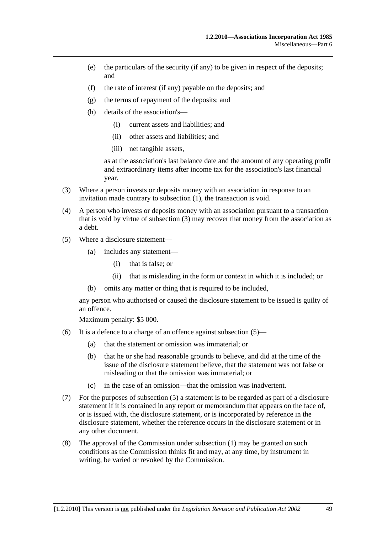- (e) the particulars of the security (if any) to be given in respect of the deposits; and
- (f) the rate of interest (if any) payable on the deposits; and
- (g) the terms of repayment of the deposits; and
- (h) details of the association's—
	- (i) current assets and liabilities; and
	- (ii) other assets and liabilities; and
	- (iii) net tangible assets,

as at the association's last balance date and the amount of any operating profit and extraordinary items after income tax for the association's last financial year.

- (3) Where a person invests or deposits money with an association in response to an invitation made contrary to subsection (1), the transaction is void.
- (4) A person who invests or deposits money with an association pursuant to a transaction that is void by virtue of subsection (3) may recover that money from the association as a debt.
- (5) Where a disclosure statement—
	- (a) includes any statement—
		- (i) that is false; or
		- (ii) that is misleading in the form or context in which it is included; or
	- (b) omits any matter or thing that is required to be included,

any person who authorised or caused the disclosure statement to be issued is guilty of an offence.

Maximum penalty: \$5 000.

- (6) It is a defence to a charge of an offence against subsection  $(5)$ 
	- (a) that the statement or omission was immaterial; or
	- (b) that he or she had reasonable grounds to believe, and did at the time of the issue of the disclosure statement believe, that the statement was not false or misleading or that the omission was immaterial; or
	- (c) in the case of an omission—that the omission was inadvertent.
- (7) For the purposes of subsection (5) a statement is to be regarded as part of a disclosure statement if it is contained in any report or memorandum that appears on the face of, or is issued with, the disclosure statement, or is incorporated by reference in the disclosure statement, whether the reference occurs in the disclosure statement or in any other document.
- (8) The approval of the Commission under subsection (1) may be granted on such conditions as the Commission thinks fit and may, at any time, by instrument in writing, be varied or revoked by the Commission.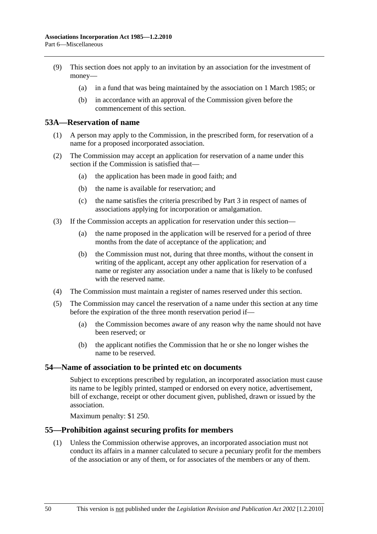- (9) This section does not apply to an invitation by an association for the investment of money—
	- (a) in a fund that was being maintained by the association on 1 March 1985; or
	- (b) in accordance with an approval of the Commission given before the commencement of this section.

### **53A—Reservation of name**

- (1) A person may apply to the Commission, in the prescribed form, for reservation of a name for a proposed incorporated association.
- (2) The Commission may accept an application for reservation of a name under this section if the Commission is satisfied that—
	- (a) the application has been made in good faith; and
	- (b) the name is available for reservation; and
	- (c) the name satisfies the criteria prescribed by Part 3 in respect of names of associations applying for incorporation or amalgamation.
- (3) If the Commission accepts an application for reservation under this section—
	- (a) the name proposed in the application will be reserved for a period of three months from the date of acceptance of the application; and
	- (b) the Commission must not, during that three months, without the consent in writing of the applicant, accept any other application for reservation of a name or register any association under a name that is likely to be confused with the reserved name.
- (4) The Commission must maintain a register of names reserved under this section.
- (5) The Commission may cancel the reservation of a name under this section at any time before the expiration of the three month reservation period if—
	- (a) the Commission becomes aware of any reason why the name should not have been reserved; or
	- (b) the applicant notifies the Commission that he or she no longer wishes the name to be reserved.

#### **54—Name of association to be printed etc on documents**

Subject to exceptions prescribed by regulation, an incorporated association must cause its name to be legibly printed, stamped or endorsed on every notice, advertisement, bill of exchange, receipt or other document given, published, drawn or issued by the association.

Maximum penalty: \$1 250.

#### **55—Prohibition against securing profits for members**

 (1) Unless the Commission otherwise approves, an incorporated association must not conduct its affairs in a manner calculated to secure a pecuniary profit for the members of the association or any of them, or for associates of the members or any of them.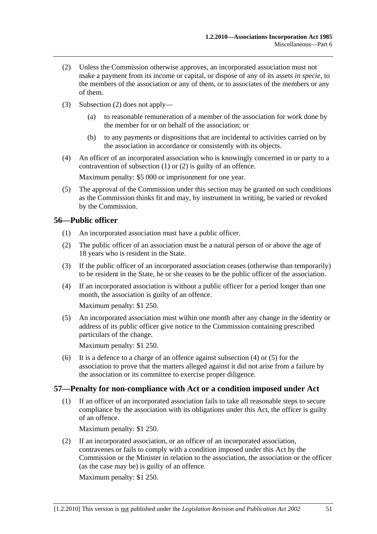- (2) Unless the Commission otherwise approves, an incorporated association must not make a payment from its income or capital, or dispose of any of its assets *in specie*, to the members of the association or any of them, or to associates of the members or any of them.
- (3) Subsection (2) does not apply—
	- (a) to reasonable remuneration of a member of the association for work done by the member for or on behalf of the association; or
	- (b) to any payments or dispositions that are incidental to activities carried on by the association in accordance or consistently with its objects.
- (4) An officer of an incorporated association who is knowingly concerned in or party to a contravention of subsection (1) or (2) is guilty of an offence.

Maximum penalty: \$5 000 or imprisonment for one year.

 (5) The approval of the Commission under this section may be granted on such conditions as the Commission thinks fit and may, by instrument in writing, be varied or revoked by the Commission.

## **56—Public officer**

- (1) An incorporated association must have a public officer.
- (2) The public officer of an association must be a natural person of or above the age of 18 years who is resident in the State.
- (3) If the public officer of an incorporated association ceases (otherwise than temporarily) to be resident in the State, he or she ceases to be the public officer of the association.
- (4) If an incorporated association is without a public officer for a period longer than one month, the association is guilty of an offence.

Maximum penalty: \$1 250.

 (5) An incorporated association must within one month after any change in the identity or address of its public officer give notice to the Commission containing prescribed particulars of the change.

Maximum penalty: \$1 250.

 (6) It is a defence to a charge of an offence against subsection (4) or (5) for the association to prove that the matters alleged against it did not arise from a failure by the association or its committee to exercise proper diligence.

## **57—Penalty for non-compliance with Act or a condition imposed under Act**

 (1) If an officer of an incorporated association fails to take all reasonable steps to secure compliance by the association with its obligations under this Act, the officer is guilty of an offence.

Maximum penalty: \$1 250.

 (2) If an incorporated association, or an officer of an incorporated association, contravenes or fails to comply with a condition imposed under this Act by the Commission or the Minister in relation to the association, the association or the officer (as the case may be) is guilty of an offence.

Maximum penalty: \$1 250.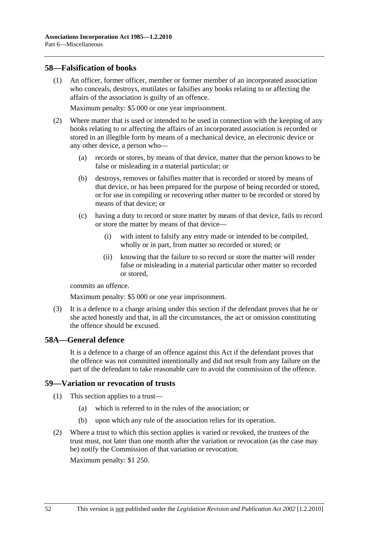#### **58—Falsification of books**

 (1) An officer, former officer, member or former member of an incorporated association who conceals, destroys, mutilates or falsifies any books relating to or affecting the affairs of the association is guilty of an offence.

Maximum penalty: \$5 000 or one year imprisonment.

- (2) Where matter that is used or intended to be used in connection with the keeping of any books relating to or affecting the affairs of an incorporated association is recorded or stored in an illegible form by means of a mechanical device, an electronic device or any other device, a person who—
	- (a) records or stores, by means of that device, matter that the person knows to be false or misleading in a material particular; or
	- (b) destroys, removes or falsifies matter that is recorded or stored by means of that device, or has been prepared for the purpose of being recorded or stored, or for use in compiling or recovering other matter to be recorded or stored by means of that device; or
	- (c) having a duty to record or store matter by means of that device, fails to record or store the matter by means of that device—
		- (i) with intent to falsify any entry made or intended to be compiled, wholly or in part, from matter so recorded or stored; or
		- (ii) knowing that the failure to so record or store the matter will render false or misleading in a material particular other matter so recorded or stored,

commits an offence.

Maximum penalty: \$5 000 or one year imprisonment.

 (3) It is a defence to a charge arising under this section if the defendant proves that he or she acted honestly and that, in all the circumstances, the act or omission constituting the offence should be excused.

## **58A—General defence**

It is a defence to a charge of an offence against this Act if the defendant proves that the offence was not committed intentionally and did not result from any failure on the part of the defendant to take reasonable care to avoid the commission of the offence.

#### **59—Variation or revocation of trusts**

- (1) This section applies to a trust—
	- (a) which is referred to in the rules of the association; or
	- (b) upon which any rule of the association relies for its operation.
- (2) Where a trust to which this section applies is varied or revoked, the trustees of the trust must, not later than one month after the variation or revocation (as the case may be) notify the Commission of that variation or revocation.

Maximum penalty: \$1 250.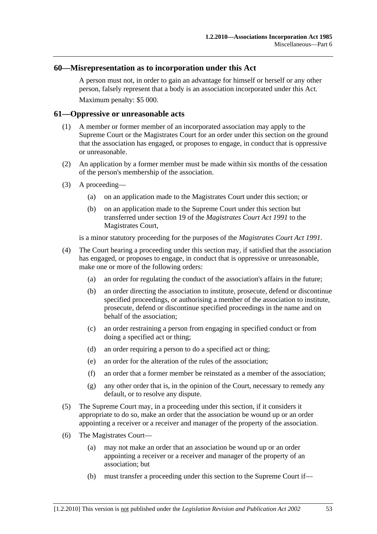#### **60—Misrepresentation as to incorporation under this Act**

A person must not, in order to gain an advantage for himself or herself or any other person, falsely represent that a body is an association incorporated under this Act. Maximum penalty: \$5 000.

#### **61—Oppressive or unreasonable acts**

- (1) A member or former member of an incorporated association may apply to the Supreme Court or the Magistrates Court for an order under this section on the ground that the association has engaged, or proposes to engage, in conduct that is oppressive or unreasonable.
- (2) An application by a former member must be made within six months of the cessation of the person's membership of the association.
- (3) A proceeding—
	- (a) on an application made to the Magistrates Court under this section; or
	- (b) on an application made to the Supreme Court under this section but transferred under section 19 of the *Magistrates Court Act 1991* to the Magistrates Court,

is a minor statutory proceeding for the purposes of the *Magistrates Court Act 1991*.

- (4) The Court hearing a proceeding under this section may, if satisfied that the association has engaged, or proposes to engage, in conduct that is oppressive or unreasonable, make one or more of the following orders:
	- (a) an order for regulating the conduct of the association's affairs in the future;
	- (b) an order directing the association to institute, prosecute, defend or discontinue specified proceedings, or authorising a member of the association to institute, prosecute, defend or discontinue specified proceedings in the name and on behalf of the association;
	- (c) an order restraining a person from engaging in specified conduct or from doing a specified act or thing;
	- (d) an order requiring a person to do a specified act or thing;
	- (e) an order for the alteration of the rules of the association;
	- (f) an order that a former member be reinstated as a member of the association;
	- (g) any other order that is, in the opinion of the Court, necessary to remedy any default, or to resolve any dispute.
- (5) The Supreme Court may, in a proceeding under this section, if it considers it appropriate to do so, make an order that the association be wound up or an order appointing a receiver or a receiver and manager of the property of the association.
- (6) The Magistrates Court—
	- (a) may not make an order that an association be wound up or an order appointing a receiver or a receiver and manager of the property of an association; but
	- (b) must transfer a proceeding under this section to the Supreme Court if—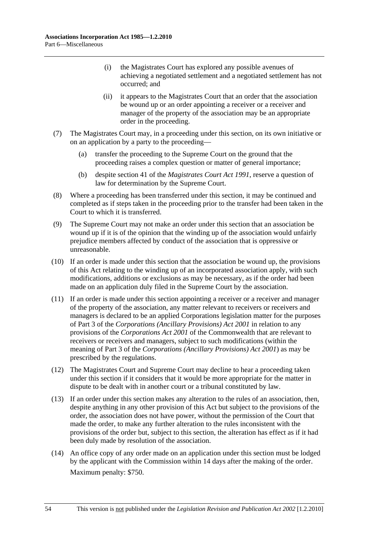- (i) the Magistrates Court has explored any possible avenues of achieving a negotiated settlement and a negotiated settlement has not occurred; and
- (ii) it appears to the Magistrates Court that an order that the association be wound up or an order appointing a receiver or a receiver and manager of the property of the association may be an appropriate order in the proceeding.
- (7) The Magistrates Court may, in a proceeding under this section, on its own initiative or on an application by a party to the proceeding—
	- (a) transfer the proceeding to the Supreme Court on the ground that the proceeding raises a complex question or matter of general importance;
	- (b) despite section 41 of the *Magistrates Court Act 1991*, reserve a question of law for determination by the Supreme Court.
- (8) Where a proceeding has been transferred under this section, it may be continued and completed as if steps taken in the proceeding prior to the transfer had been taken in the Court to which it is transferred.
- (9) The Supreme Court may not make an order under this section that an association be wound up if it is of the opinion that the winding up of the association would unfairly prejudice members affected by conduct of the association that is oppressive or unreasonable.
- (10) If an order is made under this section that the association be wound up, the provisions of this Act relating to the winding up of an incorporated association apply, with such modifications, additions or exclusions as may be necessary, as if the order had been made on an application duly filed in the Supreme Court by the association.
- (11) If an order is made under this section appointing a receiver or a receiver and manager of the property of the association, any matter relevant to receivers or receivers and managers is declared to be an applied Corporations legislation matter for the purposes of Part 3 of the *Corporations (Ancillary Provisions) Act 2001* in relation to any provisions of the *Corporations Act 2001* of the Commonwealth that are relevant to receivers or receivers and managers, subject to such modifications (within the meaning of Part 3 of the *Corporations (Ancillary Provisions) Act 2001*) as may be prescribed by the regulations.
- (12) The Magistrates Court and Supreme Court may decline to hear a proceeding taken under this section if it considers that it would be more appropriate for the matter in dispute to be dealt with in another court or a tribunal constituted by law.
- (13) If an order under this section makes any alteration to the rules of an association, then, despite anything in any other provision of this Act but subject to the provisions of the order, the association does not have power, without the permission of the Court that made the order, to make any further alteration to the rules inconsistent with the provisions of the order but, subject to this section, the alteration has effect as if it had been duly made by resolution of the association.
- (14) An office copy of any order made on an application under this section must be lodged by the applicant with the Commission within 14 days after the making of the order. Maximum penalty: \$750.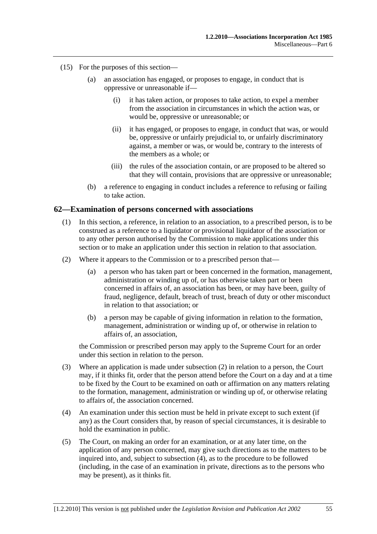- (15) For the purposes of this section—
	- (a) an association has engaged, or proposes to engage, in conduct that is oppressive or unreasonable if—
		- (i) it has taken action, or proposes to take action, to expel a member from the association in circumstances in which the action was, or would be, oppressive or unreasonable; or
		- (ii) it has engaged, or proposes to engage, in conduct that was, or would be, oppressive or unfairly prejudicial to, or unfairly discriminatory against, a member or was, or would be, contrary to the interests of the members as a whole; or
		- (iii) the rules of the association contain, or are proposed to be altered so that they will contain, provisions that are oppressive or unreasonable;
	- (b) a reference to engaging in conduct includes a reference to refusing or failing to take action.

#### **62—Examination of persons concerned with associations**

- (1) In this section, a reference, in relation to an association, to a prescribed person, is to be construed as a reference to a liquidator or provisional liquidator of the association or to any other person authorised by the Commission to make applications under this section or to make an application under this section in relation to that association.
- (2) Where it appears to the Commission or to a prescribed person that—
	- (a) a person who has taken part or been concerned in the formation, management, administration or winding up of, or has otherwise taken part or been concerned in affairs of, an association has been, or may have been, guilty of fraud, negligence, default, breach of trust, breach of duty or other misconduct in relation to that association; or
	- (b) a person may be capable of giving information in relation to the formation, management, administration or winding up of, or otherwise in relation to affairs of, an association,

the Commission or prescribed person may apply to the Supreme Court for an order under this section in relation to the person.

- (3) Where an application is made under subsection (2) in relation to a person, the Court may, if it thinks fit, order that the person attend before the Court on a day and at a time to be fixed by the Court to be examined on oath or affirmation on any matters relating to the formation, management, administration or winding up of, or otherwise relating to affairs of, the association concerned.
- (4) An examination under this section must be held in private except to such extent (if any) as the Court considers that, by reason of special circumstances, it is desirable to hold the examination in public.
- (5) The Court, on making an order for an examination, or at any later time, on the application of any person concerned, may give such directions as to the matters to be inquired into, and, subject to subsection (4), as to the procedure to be followed (including, in the case of an examination in private, directions as to the persons who may be present), as it thinks fit.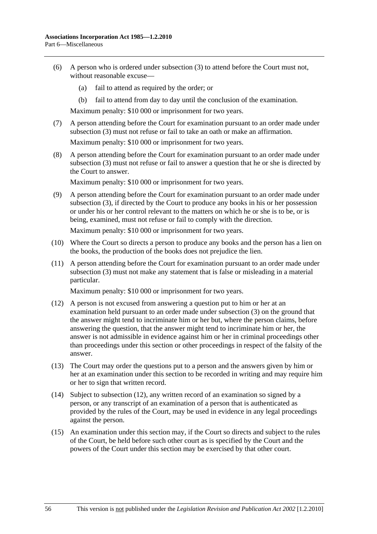- (6) A person who is ordered under subsection (3) to attend before the Court must not, without reasonable excuse—
	- (a) fail to attend as required by the order; or
	- (b) fail to attend from day to day until the conclusion of the examination.

Maximum penalty: \$10 000 or imprisonment for two years.

 (7) A person attending before the Court for examination pursuant to an order made under subsection (3) must not refuse or fail to take an oath or make an affirmation.

Maximum penalty: \$10 000 or imprisonment for two years.

 (8) A person attending before the Court for examination pursuant to an order made under subsection (3) must not refuse or fail to answer a question that he or she is directed by the Court to answer.

Maximum penalty: \$10 000 or imprisonment for two years.

 (9) A person attending before the Court for examination pursuant to an order made under subsection (3), if directed by the Court to produce any books in his or her possession or under his or her control relevant to the matters on which he or she is to be, or is being, examined, must not refuse or fail to comply with the direction.

Maximum penalty: \$10 000 or imprisonment for two years.

- (10) Where the Court so directs a person to produce any books and the person has a lien on the books, the production of the books does not prejudice the lien.
- (11) A person attending before the Court for examination pursuant to an order made under subsection (3) must not make any statement that is false or misleading in a material particular.

Maximum penalty: \$10 000 or imprisonment for two years.

- (12) A person is not excused from answering a question put to him or her at an examination held pursuant to an order made under subsection (3) on the ground that the answer might tend to incriminate him or her but, where the person claims, before answering the question, that the answer might tend to incriminate him or her, the answer is not admissible in evidence against him or her in criminal proceedings other than proceedings under this section or other proceedings in respect of the falsity of the answer.
- (13) The Court may order the questions put to a person and the answers given by him or her at an examination under this section to be recorded in writing and may require him or her to sign that written record.
- (14) Subject to subsection (12), any written record of an examination so signed by a person, or any transcript of an examination of a person that is authenticated as provided by the rules of the Court, may be used in evidence in any legal proceedings against the person.
- (15) An examination under this section may, if the Court so directs and subject to the rules of the Court, be held before such other court as is specified by the Court and the powers of the Court under this section may be exercised by that other court.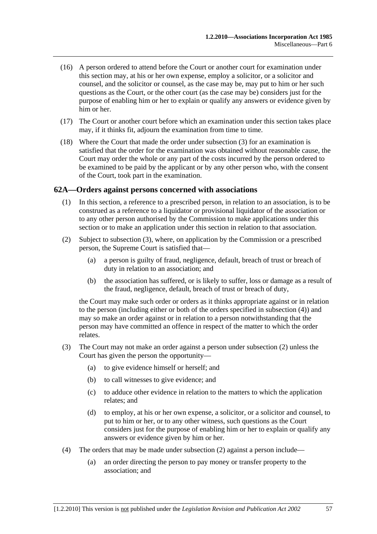- (16) A person ordered to attend before the Court or another court for examination under this section may, at his or her own expense, employ a solicitor, or a solicitor and counsel, and the solicitor or counsel, as the case may be, may put to him or her such questions as the Court, or the other court (as the case may be) considers just for the purpose of enabling him or her to explain or qualify any answers or evidence given by him or her.
- (17) The Court or another court before which an examination under this section takes place may, if it thinks fit, adjourn the examination from time to time.
- (18) Where the Court that made the order under subsection (3) for an examination is satisfied that the order for the examination was obtained without reasonable cause, the Court may order the whole or any part of the costs incurred by the person ordered to be examined to be paid by the applicant or by any other person who, with the consent of the Court, took part in the examination.

#### **62A—Orders against persons concerned with associations**

- (1) In this section, a reference to a prescribed person, in relation to an association, is to be construed as a reference to a liquidator or provisional liquidator of the association or to any other person authorised by the Commission to make applications under this section or to make an application under this section in relation to that association.
- (2) Subject to subsection (3), where, on application by the Commission or a prescribed person, the Supreme Court is satisfied that—
	- (a) a person is guilty of fraud, negligence, default, breach of trust or breach of duty in relation to an association; and
	- (b) the association has suffered, or is likely to suffer, loss or damage as a result of the fraud, negligence, default, breach of trust or breach of duty,

the Court may make such order or orders as it thinks appropriate against or in relation to the person (including either or both of the orders specified in subsection (4)) and may so make an order against or in relation to a person notwithstanding that the person may have committed an offence in respect of the matter to which the order relates.

- (3) The Court may not make an order against a person under subsection (2) unless the Court has given the person the opportunity—
	- (a) to give evidence himself or herself; and
	- (b) to call witnesses to give evidence; and
	- (c) to adduce other evidence in relation to the matters to which the application relates; and
	- (d) to employ, at his or her own expense, a solicitor, or a solicitor and counsel, to put to him or her, or to any other witness, such questions as the Court considers just for the purpose of enabling him or her to explain or qualify any answers or evidence given by him or her.
- (4) The orders that may be made under subsection (2) against a person include—
	- (a) an order directing the person to pay money or transfer property to the association; and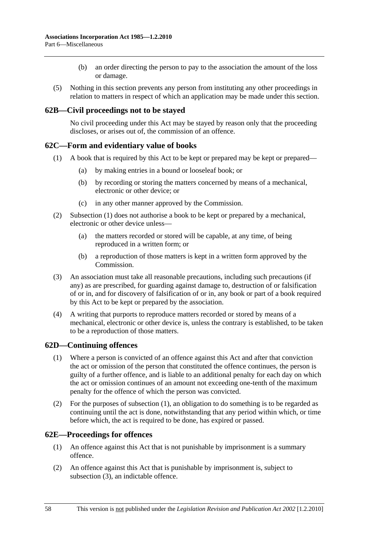- (b) an order directing the person to pay to the association the amount of the loss or damage.
- (5) Nothing in this section prevents any person from instituting any other proceedings in relation to matters in respect of which an application may be made under this section.

## **62B—Civil proceedings not to be stayed**

No civil proceeding under this Act may be stayed by reason only that the proceeding discloses, or arises out of, the commission of an offence.

## **62C—Form and evidentiary value of books**

- (1) A book that is required by this Act to be kept or prepared may be kept or prepared—
	- (a) by making entries in a bound or looseleaf book; or
	- (b) by recording or storing the matters concerned by means of a mechanical, electronic or other device; or
	- (c) in any other manner approved by the Commission.
- (2) Subsection (1) does not authorise a book to be kept or prepared by a mechanical, electronic or other device unless—
	- (a) the matters recorded or stored will be capable, at any time, of being reproduced in a written form; or
	- (b) a reproduction of those matters is kept in a written form approved by the Commission.
- (3) An association must take all reasonable precautions, including such precautions (if any) as are prescribed, for guarding against damage to, destruction of or falsification of or in, and for discovery of falsification of or in, any book or part of a book required by this Act to be kept or prepared by the association.
- (4) A writing that purports to reproduce matters recorded or stored by means of a mechanical, electronic or other device is, unless the contrary is established, to be taken to be a reproduction of those matters.

## **62D—Continuing offences**

- (1) Where a person is convicted of an offence against this Act and after that conviction the act or omission of the person that constituted the offence continues, the person is guilty of a further offence, and is liable to an additional penalty for each day on which the act or omission continues of an amount not exceeding one-tenth of the maximum penalty for the offence of which the person was convicted.
- (2) For the purposes of subsection (1), an obligation to do something is to be regarded as continuing until the act is done, notwithstanding that any period within which, or time before which, the act is required to be done, has expired or passed.

#### **62E—Proceedings for offences**

- (1) An offence against this Act that is not punishable by imprisonment is a summary offence.
- (2) An offence against this Act that is punishable by imprisonment is, subject to subsection (3), an indictable offence.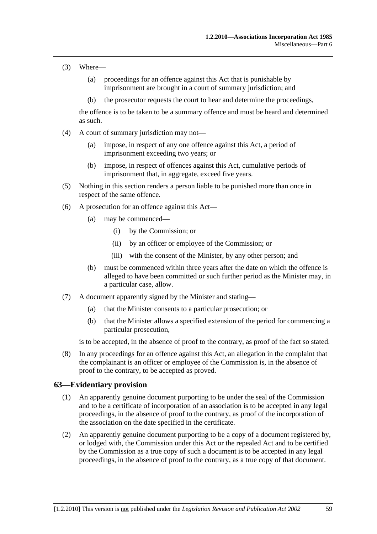- (3) Where—
	- (a) proceedings for an offence against this Act that is punishable by imprisonment are brought in a court of summary jurisdiction; and
	- (b) the prosecutor requests the court to hear and determine the proceedings,

the offence is to be taken to be a summary offence and must be heard and determined as such.

- (4) A court of summary jurisdiction may not—
	- (a) impose, in respect of any one offence against this Act, a period of imprisonment exceeding two years; or
	- (b) impose, in respect of offences against this Act, cumulative periods of imprisonment that, in aggregate, exceed five years.
- (5) Nothing in this section renders a person liable to be punished more than once in respect of the same offence.
- (6) A prosecution for an offence against this Act—
	- (a) may be commenced—
		- (i) by the Commission; or
		- (ii) by an officer or employee of the Commission; or
		- (iii) with the consent of the Minister, by any other person; and
	- (b) must be commenced within three years after the date on which the offence is alleged to have been committed or such further period as the Minister may, in a particular case, allow.
- (7) A document apparently signed by the Minister and stating—
	- (a) that the Minister consents to a particular prosecution; or
	- (b) that the Minister allows a specified extension of the period for commencing a particular prosecution,

is to be accepted, in the absence of proof to the contrary, as proof of the fact so stated.

 (8) In any proceedings for an offence against this Act, an allegation in the complaint that the complainant is an officer or employee of the Commission is, in the absence of proof to the contrary, to be accepted as proved.

#### **63—Evidentiary provision**

- (1) An apparently genuine document purporting to be under the seal of the Commission and to be a certificate of incorporation of an association is to be accepted in any legal proceedings, in the absence of proof to the contrary, as proof of the incorporation of the association on the date specified in the certificate.
- (2) An apparently genuine document purporting to be a copy of a document registered by, or lodged with, the Commission under this Act or the repealed Act and to be certified by the Commission as a true copy of such a document is to be accepted in any legal proceedings, in the absence of proof to the contrary, as a true copy of that document.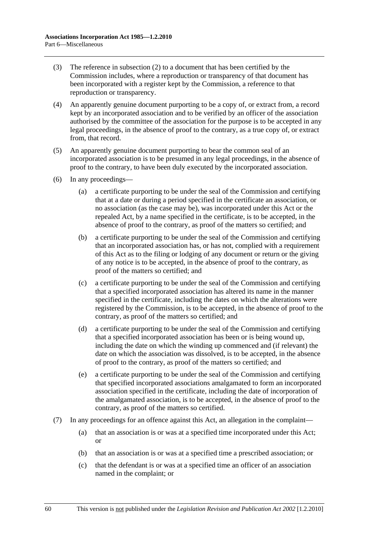- (3) The reference in subsection (2) to a document that has been certified by the Commission includes, where a reproduction or transparency of that document has been incorporated with a register kept by the Commission, a reference to that reproduction or transparency.
- (4) An apparently genuine document purporting to be a copy of, or extract from, a record kept by an incorporated association and to be verified by an officer of the association authorised by the committee of the association for the purpose is to be accepted in any legal proceedings, in the absence of proof to the contrary, as a true copy of, or extract from, that record.
- (5) An apparently genuine document purporting to bear the common seal of an incorporated association is to be presumed in any legal proceedings, in the absence of proof to the contrary, to have been duly executed by the incorporated association.
- (6) In any proceedings—
	- (a) a certificate purporting to be under the seal of the Commission and certifying that at a date or during a period specified in the certificate an association, or no association (as the case may be), was incorporated under this Act or the repealed Act, by a name specified in the certificate, is to be accepted, in the absence of proof to the contrary, as proof of the matters so certified; and
	- (b) a certificate purporting to be under the seal of the Commission and certifying that an incorporated association has, or has not, complied with a requirement of this Act as to the filing or lodging of any document or return or the giving of any notice is to be accepted, in the absence of proof to the contrary, as proof of the matters so certified; and
	- (c) a certificate purporting to be under the seal of the Commission and certifying that a specified incorporated association has altered its name in the manner specified in the certificate, including the dates on which the alterations were registered by the Commission, is to be accepted, in the absence of proof to the contrary, as proof of the matters so certified; and
	- (d) a certificate purporting to be under the seal of the Commission and certifying that a specified incorporated association has been or is being wound up, including the date on which the winding up commenced and (if relevant) the date on which the association was dissolved, is to be accepted, in the absence of proof to the contrary, as proof of the matters so certified; and
	- (e) a certificate purporting to be under the seal of the Commission and certifying that specified incorporated associations amalgamated to form an incorporated association specified in the certificate, including the date of incorporation of the amalgamated association, is to be accepted, in the absence of proof to the contrary, as proof of the matters so certified.
- (7) In any proceedings for an offence against this Act, an allegation in the complaint—
	- (a) that an association is or was at a specified time incorporated under this Act; or
	- (b) that an association is or was at a specified time a prescribed association; or
	- (c) that the defendant is or was at a specified time an officer of an association named in the complaint; or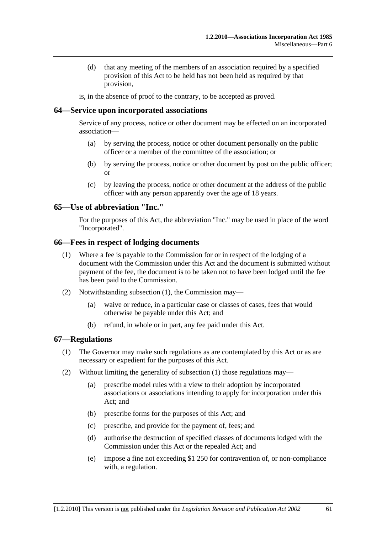(d) that any meeting of the members of an association required by a specified provision of this Act to be held has not been held as required by that provision,

is, in the absence of proof to the contrary, to be accepted as proved.

### **64—Service upon incorporated associations**

Service of any process, notice or other document may be effected on an incorporated association—

- (a) by serving the process, notice or other document personally on the public officer or a member of the committee of the association; or
- (b) by serving the process, notice or other document by post on the public officer; or
- (c) by leaving the process, notice or other document at the address of the public officer with any person apparently over the age of 18 years.

## **65—Use of abbreviation "Inc."**

For the purposes of this Act, the abbreviation "Inc." may be used in place of the word "Incorporated".

### **66—Fees in respect of lodging documents**

- (1) Where a fee is payable to the Commission for or in respect of the lodging of a document with the Commission under this Act and the document is submitted without payment of the fee, the document is to be taken not to have been lodged until the fee has been paid to the Commission.
- (2) Notwithstanding subsection (1), the Commission may—
	- (a) waive or reduce, in a particular case or classes of cases, fees that would otherwise be payable under this Act; and
	- (b) refund, in whole or in part, any fee paid under this Act.

#### **67—Regulations**

- (1) The Governor may make such regulations as are contemplated by this Act or as are necessary or expedient for the purposes of this Act.
- (2) Without limiting the generality of subsection (1) those regulations may—
	- (a) prescribe model rules with a view to their adoption by incorporated associations or associations intending to apply for incorporation under this Act; and
	- (b) prescribe forms for the purposes of this Act; and
	- (c) prescribe, and provide for the payment of, fees; and
	- (d) authorise the destruction of specified classes of documents lodged with the Commission under this Act or the repealed Act; and
	- (e) impose a fine not exceeding \$1 250 for contravention of, or non-compliance with, a regulation.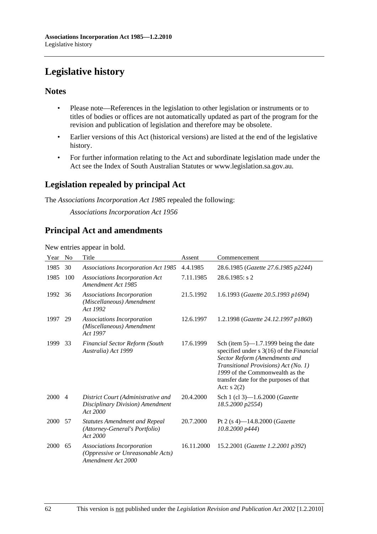# **Legislative history**

## **Notes**

- Please note—References in the legislation to other legislation or instruments or to titles of bodies or offices are not automatically updated as part of the program for the revision and publication of legislation and therefore may be obsolete.
- Earlier versions of this Act (historical versions) are listed at the end of the legislative history.
- For further information relating to the Act and subordinate legislation made under the Act see the Index of South Australian Statutes or www.legislation.sa.gov.au.

## **Legislation repealed by principal Act**

The *Associations Incorporation Act 1985* repealed the following:

*Associations Incorporation Act 1956*

## **Principal Act and amendments**

New entries appear in bold.

| Year | N <sub>0</sub> | Title                                                                                 | Assent     | Commencement                                                                                                                                                                                                                                             |
|------|----------------|---------------------------------------------------------------------------------------|------------|----------------------------------------------------------------------------------------------------------------------------------------------------------------------------------------------------------------------------------------------------------|
| 1985 | 30             | <b>Associations Incorporation Act 1985</b>                                            | 4.4.1985   | 28.6.1985 (Gazette 27.6.1985 p2244)                                                                                                                                                                                                                      |
| 1985 | 100            | Associations Incorporation Act<br>Amendment Act 1985                                  | 7.11.1985  | $28.6.1985$ : s 2                                                                                                                                                                                                                                        |
| 1992 | 36             | Associations Incorporation<br>(Miscellaneous) Amendment<br>Act 1992                   | 21.5.1992  | 1.6.1993 (Gazette 20.5.1993 p1694)                                                                                                                                                                                                                       |
| 1997 | 29             | Associations Incorporation<br>(Miscellaneous) Amendment<br>Act 1997                   | 12.6.1997  | 1.2.1998 (Gazette 24.12.1997 p1860)                                                                                                                                                                                                                      |
| 1999 | 33             | <b>Financial Sector Reform (South</b><br>Australia) Act 1999                          | 17.6.1999  | Sch (item $5$ )—1.7.1999 being the date<br>specified under s 3(16) of the Financial<br>Sector Reform (Amendments and<br>Transitional Provisions) Act (No. 1)<br>1999 of the Commonwealth as the<br>transfer date for the purposes of that<br>Act: $s(2)$ |
| 2000 | $\overline{4}$ | District Court (Administrative and<br>Disciplinary Division) Amendment<br>Act 2000    | 20.4.2000  | Sch 1 (cl 3)-1.6.2000 (Gazette<br>18.5.2000 p2554)                                                                                                                                                                                                       |
| 2000 | 57             | <b>Statutes Amendment and Repeal</b><br>(Attorney-General's Portfolio)<br>Act 2000    | 20.7.2000  | Pt 2 (s 4)—14.8.2000 ( <i>Gazette</i><br>$10.8.2000\ p444$                                                                                                                                                                                               |
| 2000 | 65             | Associations Incorporation<br>(Oppressive or Unreasonable Acts)<br>Amendment Act 2000 | 16.11.2000 | 15.2.2001 (Gazette 1.2.2001 p392)                                                                                                                                                                                                                        |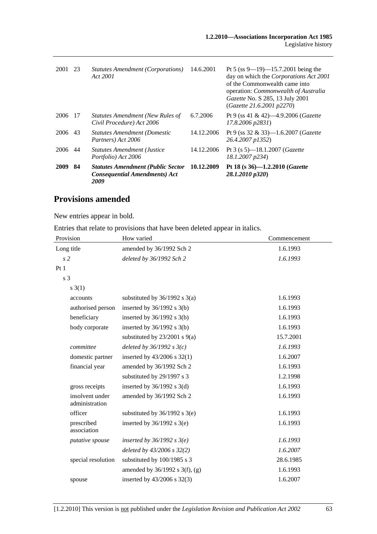| 2001 | 23  | Statutes Amendment (Corporations)<br>Act 2001                                            | 14.6.2001  | Pt 5 (ss 9—19)—15.7.2001 being the<br>day on which the Corporations Act 2001<br>of the Commonwealth came into<br>operation: <i>Commonwealth of Australia</i><br>Gazette No. S 285, 13 July 2001<br>(Gazette 21.6.2001 p2270) |
|------|-----|------------------------------------------------------------------------------------------|------------|------------------------------------------------------------------------------------------------------------------------------------------------------------------------------------------------------------------------------|
| 2006 | -17 | Statutes Amendment (New Rules of<br>Civil Procedure) Act 2006                            | 6.7.2006   | Pt 9 (ss 41 & 42)—4.9.2006 ( <i>Gazette</i><br>17.8.2006 p2831)                                                                                                                                                              |
| 2006 | 43  | <b>Statutes Amendment (Domestic</b><br>Partners) Act 2006                                | 14.12.2006 | Pt 9 (ss 32 & 33)—1.6.2007 ( <i>Gazette</i><br>26.4.2007 p1352)                                                                                                                                                              |
| 2006 | 44  | <b>Statutes Amendment (Justice</b><br>Portfolio) Act 2006                                | 14.12.2006 | Pt 3 (s 5)—18.1.2007 ( <i>Gazette</i><br>18.1.2007 p234)                                                                                                                                                                     |
| 2009 | 84  | <b>Statutes Amendment (Public Sector</b><br><b>Consequential Amendments) Act</b><br>2009 | 10.12.2009 | Pt 18 (s $36$ )-1.2.2010 ( <i>Gazette</i><br>28.1.2010 p320)                                                                                                                                                                 |

## **Provisions amended**

New entries appear in bold.

Entries that relate to provisions that have been deleted appear in italics.

| How varied                          | Commencement |
|-------------------------------------|--------------|
| amended by 36/1992 Sch 2            | 1.6.1993     |
| deleted by 36/1992 Sch 2            | 1.6.1993     |
|                                     |              |
|                                     |              |
|                                     |              |
| substituted by $36/1992$ s $3(a)$   | 1.6.1993     |
| inserted by $36/1992$ s $3(b)$      | 1.6.1993     |
| inserted by $36/1992$ s $3(b)$      | 1.6.1993     |
| inserted by $36/1992$ s $3(b)$      | 1.6.1993     |
| substituted by $23/2001$ s $9(a)$   | 15.7.2001    |
| deleted by $36/1992 s 3(c)$         | 1.6.1993     |
| inserted by $43/2006$ s $32(1)$     | 1.6.2007     |
| amended by 36/1992 Sch 2            | 1.6.1993     |
| substituted by 29/1997 s 3          | 1.2.1998     |
| inserted by $36/1992$ s $3(d)$      | 1.6.1993     |
| amended by 36/1992 Sch 2            | 1.6.1993     |
| substituted by $36/1992$ s $3(e)$   | 1.6.1993     |
| inserted by $36/1992$ s $3(e)$      | 1.6.1993     |
| inserted by $36/1992$ s $3(e)$      | 1.6.1993     |
| deleted by 43/2006 s 32(2)          | 1.6.2007     |
| substituted by 100/1985 s 3         | 28.6.1985    |
| amended by $36/1992$ s $3(f)$ , (g) | 1.6.1993     |
| inserted by 43/2006 s 32(3)         | 1.6.2007     |
|                                     |              |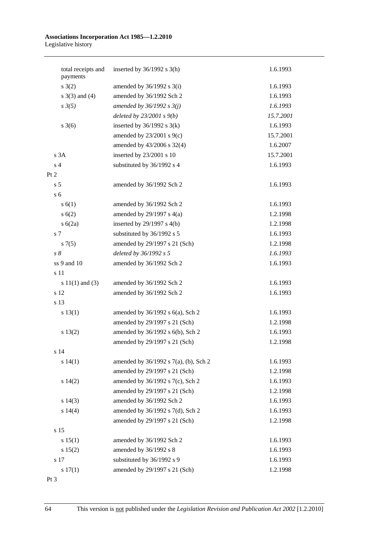#### **Associations Incorporation Act 1985—1.2.2010**  Legislative history

|      | total receipts and<br>payments | inserted by $36/1992$ s $3(h)$        | 1.6.1993  |
|------|--------------------------------|---------------------------------------|-----------|
|      | s(2)                           | amended by $36/1992$ s $3(i)$         | 1.6.1993  |
|      | s $3(3)$ and $(4)$             | amended by 36/1992 Sch 2              | 1.6.1993  |
|      | $s \frac{3(5)}{2}$             | amended by $36/1992 s 3(j)$           | 1.6.1993  |
|      |                                | deleted by $23/2001 s9(b)$            | 15.7.2001 |
|      | $s \; 3(6)$                    | inserted by $36/1992$ s $3(k)$        | 1.6.1993  |
|      |                                | amended by $23/2001$ s $9(c)$         | 15.7.2001 |
|      |                                | amended by 43/2006 s 32(4)            | 1.6.2007  |
|      | s 3A                           | inserted by 23/2001 s 10              | 15.7.2001 |
|      | s <sub>4</sub>                 | substituted by 36/1992 s 4            | 1.6.1993  |
| Pt 2 |                                |                                       |           |
|      | s <sub>5</sub>                 | amended by 36/1992 Sch 2              | 1.6.1993  |
|      | s <sub>6</sub>                 |                                       |           |
|      | s(6(1))                        | amended by 36/1992 Sch 2              | 1.6.1993  |
|      | s(6(2)                         | amended by $29/1997$ s $4(a)$         | 1.2.1998  |
|      | s(6(2a)                        | inserted by $29/1997$ s $4(b)$        | 1.2.1998  |
|      | s 7                            | substituted by 36/1992 s 5            | 1.6.1993  |
|      | s(7(5)                         | amended by 29/1997 s 21 (Sch)         | 1.2.1998  |
|      | $s\delta$                      | deleted by 36/1992 s 5                | 1.6.1993  |
|      | ss 9 and 10                    | amended by 36/1992 Sch 2              | 1.6.1993  |
|      | s 11                           |                                       |           |
|      | s $11(1)$ and (3)              | amended by 36/1992 Sch 2              | 1.6.1993  |
|      | s 12                           | amended by 36/1992 Sch 2              | 1.6.1993  |
|      | s 13                           |                                       |           |
|      | s 13(1)                        | amended by 36/1992 s 6(a), Sch 2      | 1.6.1993  |
|      |                                | amended by 29/1997 s 21 (Sch)         | 1.2.1998  |
|      | s 13(2)                        | amended by 36/1992 s 6(b), Sch 2      | 1.6.1993  |
|      |                                | amended by 29/1997 s 21 (Sch)         | 1.2.1998  |
|      | s 14                           |                                       |           |
|      | s 14(1)                        | amended by 36/1992 s 7(a), (b), Sch 2 | 1.6.1993  |
|      |                                | amended by 29/1997 s 21 (Sch)         | 1.2.1998  |
|      | $s\ 14(2)$                     | amended by 36/1992 s 7(c), Sch 2      | 1.6.1993  |
|      |                                | amended by 29/1997 s 21 (Sch)         | 1.2.1998  |
|      | $s\ 14(3)$                     | amended by 36/1992 Sch 2              | 1.6.1993  |
|      | s 14(4)                        | amended by 36/1992 s 7(d), Sch 2      | 1.6.1993  |
|      |                                | amended by 29/1997 s 21 (Sch)         | 1.2.1998  |
|      | s 15                           |                                       |           |
|      | s 15(1)                        | amended by 36/1992 Sch 2              | 1.6.1993  |
|      | s 15(2)                        | amended by 36/1992 s 8                | 1.6.1993  |
|      | s 17                           | substituted by 36/1992 s 9            | 1.6.1993  |
|      | s 17(1)                        | amended by 29/1997 s 21 (Sch)         | 1.2.1998  |
|      |                                |                                       |           |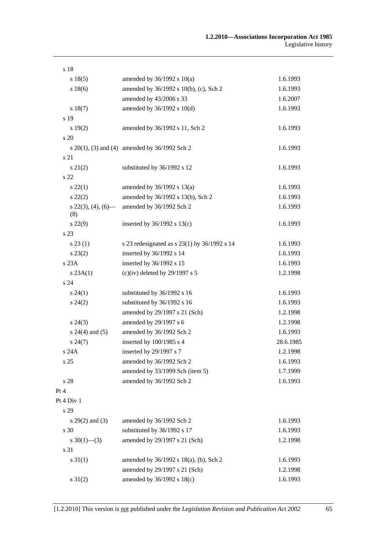| s 18                        |                                                    |           |
|-----------------------------|----------------------------------------------------|-----------|
| s 18(5)                     | amended by $36/1992$ s $10(a)$                     | 1.6.1993  |
| s 18(6)                     | amended by 36/1992 s 10(b), (c), Sch 2             | 1.6.1993  |
|                             | amended by 43/2006 s 33                            | 1.6.2007  |
| s 18(7)                     | amended by 36/1992 s 10(d)                         | 1.6.1993  |
| s 19                        |                                                    |           |
| s 19(2)                     | amended by 36/1992 s 11, Sch 2                     | 1.6.1993  |
| s 20                        |                                                    |           |
|                             | s $20(1)$ , (3) and (4) amended by $36/1992$ Sch 2 | 1.6.1993  |
| s 21                        |                                                    |           |
| $s\ 21(2)$                  | substituted by 36/1992 s 12                        | 1.6.1993  |
| s 22                        |                                                    |           |
| $s\,22(1)$                  | amended by $36/1992$ s $13(a)$                     | 1.6.1993  |
| $s\ 22(2)$                  | amended by 36/1992 s 13(b), Sch 2                  | 1.6.1993  |
| $s$ 22(3), (4), (6)—<br>(8) | amended by 36/1992 Sch 2                           | 1.6.1993  |
| $s\,22(9)$                  | inserted by $36/1992$ s $13(c)$                    | 1.6.1993  |
| s 23                        |                                                    |           |
| s 23(1)                     | s 23 redesignated as s 23(1) by 36/1992 s 14       | 1.6.1993  |
| $s\,23(2)$                  | inserted by 36/1992 s 14                           | 1.6.1993  |
| s 23A                       | inserted by 36/1992 s 15                           | 1.6.1993  |
| s 23A(1)                    | (c)(iv) deleted by $29/1997$ s 5                   | 1.2.1998  |
| s 24                        |                                                    |           |
| $s\,24(1)$                  | substituted by 36/1992 s 16                        | 1.6.1993  |
| $s\,24(2)$                  | substituted by 36/1992 s 16                        | 1.6.1993  |
|                             | amended by 29/1997 s 21 (Sch)                      | 1.2.1998  |
| $s\,24(3)$                  | amended by 29/1997 s 6                             | 1.2.1998  |
| $s 24(4)$ and (5)           | amended by 36/1992 Sch 2                           | 1.6.1993  |
| $s\,24(7)$                  | inserted by 100/1985 s 4                           | 28.6.1985 |
| s 24A                       | inserted by 29/1997 s 7                            | 1.2.1998  |
| s <sub>25</sub>             | amended by 36/1992 Sch 2                           | 1.6.1993  |
|                             | amended by 33/1999 Sch (item 5)                    | 1.7.1999  |
| s 28                        | amended by 36/1992 Sch 2                           | 1.6.1993  |
| Pt 4                        |                                                    |           |
| Pt 4 Div 1                  |                                                    |           |
| s 29                        |                                                    |           |
| s $29(2)$ and $(3)$         | amended by 36/1992 Sch 2                           | 1.6.1993  |
| s 30                        | substituted by 36/1992 s 17                        | 1.6.1993  |
| s $30(1)$ —(3)              | amended by 29/1997 s 21 (Sch)                      | 1.2.1998  |
| s 31                        |                                                    |           |
| $s \, 31(1)$                | amended by 36/1992 s 18(a), (b), Sch 2             | 1.6.1993  |
|                             | amended by 29/1997 s 21 (Sch)                      | 1.2.1998  |
| $s \ 31(2)$                 | amended by 36/1992 s 18(c)                         | 1.6.1993  |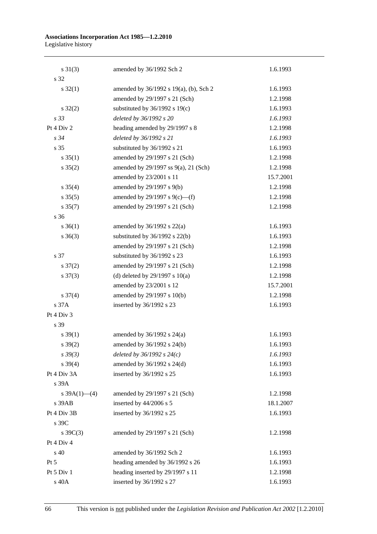#### **Associations Incorporation Act 1985—1.2.2010**  Legislative history

| $s \ 31(3)$         | amended by 36/1992 Sch 2                    | 1.6.1993  |
|---------------------|---------------------------------------------|-----------|
| s 32                |                                             |           |
| $s \, 32(1)$        | amended by 36/1992 s 19(a), (b), Sch 2      | 1.6.1993  |
|                     | amended by 29/1997 s 21 (Sch)               | 1.2.1998  |
| $s \, 32(2)$        | substituted by $36/1992$ s $19(c)$          | 1.6.1993  |
| s 33                | deleted by 36/1992 s 20                     | 1.6.1993  |
| Pt $4$ Div $2$      | heading amended by 29/1997 s 8              | 1.2.1998  |
| s 34                | deleted by 36/1992 s 21                     | 1.6.1993  |
| s 35                | substituted by 36/1992 s 21                 | 1.6.1993  |
| $s \; 35(1)$        | amended by 29/1997 s 21 (Sch)               | 1.2.1998  |
| $s \, 35(2)$        | amended by $29/1997$ ss $9(a)$ , $21$ (Sch) | 1.2.1998  |
|                     | amended by 23/2001 s 11                     | 15.7.2001 |
| $s \; 35(4)$        | amended by 29/1997 s 9(b)                   | 1.2.1998  |
| $s \, 35(5)$        | amended by 29/1997 s 9(c)—(f)               | 1.2.1998  |
| $s \, 35(7)$        | amended by 29/1997 s 21 (Sch)               | 1.2.1998  |
| s <sub>36</sub>     |                                             |           |
| $s \; 36(1)$        | amended by $36/1992$ s $22(a)$              | 1.6.1993  |
| $s \; 36(3)$        | substituted by $36/1992$ s $22(b)$          | 1.6.1993  |
|                     | amended by 29/1997 s 21 (Sch)               | 1.2.1998  |
| s 37                | substituted by 36/1992 s 23                 | 1.6.1993  |
| $s \frac{37(2)}{2}$ | amended by 29/1997 s 21 (Sch)               | 1.2.1998  |
| $s \frac{37(3)}{2}$ | (d) deleted by $29/1997$ s $10(a)$          | 1.2.1998  |
|                     | amended by 23/2001 s 12                     | 15.7.2001 |
| $s \frac{37(4)}{4}$ | amended by 29/1997 s 10(b)                  | 1.2.1998  |
| s 37A               | inserted by 36/1992 s 23                    | 1.6.1993  |
| Pt 4 Div 3          |                                             |           |
| s 39                |                                             |           |
| $s \, 39(1)$        | amended by $36/1992$ s $24(a)$              | 1.6.1993  |
| $s \frac{39(2)}{2}$ | amended by 36/1992 s 24(b)                  | 1.6.1993  |
| $s \, 39(3)$        | deleted by $36/1992 s 24(c)$                | 1.6.1993  |
| $s \, 39(4)$        | amended by 36/1992 s 24(d)                  | 1.6.1993  |
| Pt 4 Div 3A         | inserted by 36/1992 s 25                    | 1.6.1993  |
| s 39A               |                                             |           |
| s $39A(1)$ - (4)    | amended by 29/1997 s 21 (Sch)               | 1.2.1998  |
| s 39AB              | inserted by 44/2006 s 5                     | 18.1.2007 |
| Pt 4 Div 3B         | inserted by 36/1992 s 25                    | 1.6.1993  |
| s 39C               |                                             |           |
| s $39C(3)$          | amended by 29/1997 s 21 (Sch)               | 1.2.1998  |
| Pt 4 Div 4          |                                             |           |
| $s\,40$             | amended by 36/1992 Sch 2                    | 1.6.1993  |
| $Pt\,5$             | heading amended by 36/1992 s 26             | 1.6.1993  |
| Pt 5 Div 1          | heading inserted by 29/1997 s 11            | 1.2.1998  |
| s 40A               | inserted by 36/1992 s 27                    | 1.6.1993  |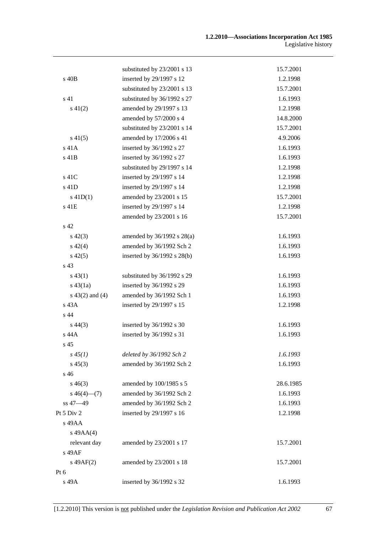|                    | substituted by 23/2001 s 13     | 15.7.2001 |
|--------------------|---------------------------------|-----------|
| $s$ 40 $B$         | inserted by 29/1997 s 12        | 1.2.1998  |
|                    | substituted by 23/2001 s 13     | 15.7.2001 |
| s <sub>41</sub>    | substituted by 36/1992 s 27     | 1.6.1993  |
| $s\ 41(2)$         | amended by 29/1997 s 13         | 1.2.1998  |
|                    | amended by 57/2000 s 4          | 14.8.2000 |
|                    | substituted by 23/2001 s 14     | 15.7.2001 |
| $s\,41(5)$         | amended by 17/2006 s 41         | 4.9.2006  |
| s 41A              | inserted by 36/1992 s 27        | 1.6.1993  |
| s 41B              | inserted by 36/1992 s 27        | 1.6.1993  |
|                    | substituted by 29/1997 s 14     | 1.2.1998  |
| s 41C              | inserted by 29/1997 s 14        | 1.2.1998  |
| s 41D              | inserted by 29/1997 s 14        | 1.2.1998  |
| $s$ 41D(1)         | amended by 23/2001 s 15         | 15.7.2001 |
| s 41E              | inserted by 29/1997 s 14        | 1.2.1998  |
|                    | amended by 23/2001 s 16         | 15.7.2001 |
| s <sub>42</sub>    |                                 |           |
| $s\ 42(3)$         | amended by 36/1992 s 28(a)      | 1.6.1993  |
| $s\ 42(4)$         | amended by 36/1992 Sch 2        | 1.6.1993  |
| $s\ 42(5)$         | inserted by $36/1992$ s $28(b)$ | 1.6.1993  |
| s <sub>43</sub>    |                                 |           |
| $s\,43(1)$         | substituted by 36/1992 s 29     | 1.6.1993  |
| $s\,43(1a)$        | inserted by 36/1992 s 29        | 1.6.1993  |
| $s\ 43(2)$ and (4) | amended by 36/1992 Sch 1        | 1.6.1993  |
| $s$ 43 $A$         | inserted by 29/1997 s 15        | 1.2.1998  |
| s 44               |                                 |           |
| $s\,44(3)$         | inserted by 36/1992 s 30        | 1.6.1993  |
| s 44A              | inserted by 36/1992 s 31        | 1.6.1993  |
| s <sub>45</sub>    |                                 |           |
| $s\,45(1)$         | deleted by 36/1992 Sch 2        | 1.6.1993  |
| $s\,45(3)$         | amended by 36/1992 Sch 2        | 1.6.1993  |
| s 46               |                                 |           |
| $s\,46(3)$         | amended by 100/1985 s 5         | 28.6.1985 |
| $s\,46(4)$ (7)     | amended by 36/1992 Sch 2        | 1.6.1993  |
| ss 47-49           | amended by 36/1992 Sch 2        | 1.6.1993  |
| Pt 5 Div 2         | inserted by 29/1997 s 16        | 1.2.1998  |
| s 49AA             |                                 |           |
| $s\ 49AA(4)$       |                                 |           |
| relevant day       | amended by 23/2001 s 17         | 15.7.2001 |
| s 49AF             |                                 |           |
| $s\ 49AF(2)$       | amended by 23/2001 s 18         | 15.7.2001 |
| Pt 6               |                                 |           |
| s 49A              | inserted by 36/1992 s 32        | 1.6.1993  |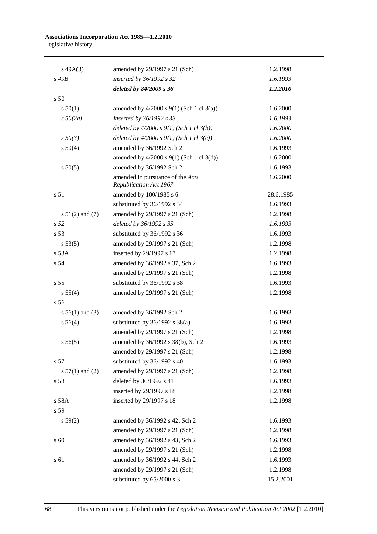#### **Associations Incorporation Act 1985—1.2.2010**  Legislative history

| $s\,49A(3)$       | amended by 29/1997 s 21 (Sch)                              | 1.2.1998  |
|-------------------|------------------------------------------------------------|-----------|
| s 49B             | inserted by 36/1992 s 32                                   | 1.6.1993  |
|                   | deleted by 84/2009 s 36                                    | 1.2.2010  |
| s 50              |                                                            |           |
| s 50(1)           | amended by $4/2000$ s $9(1)$ (Sch 1 cl 3(a))               | 1.6.2000  |
| $s\,50(2a)$       | inserted by 36/1992 s 33                                   | 1.6.1993  |
|                   | deleted by $4/2000 s 9(1)$ (Sch 1 cl 3(b))                 | 1.6.2000  |
| $s\,50(3)$        | deleted by $4/2000 s 9(1)$ (Sch 1 cl 3(c))                 | 1.6.2000  |
| s 50(4)           | amended by 36/1992 Sch 2                                   | 1.6.1993  |
|                   | amended by $4/2000$ s $9(1)$ (Sch 1 cl 3(d))               | 1.6.2000  |
| s 50(5)           | amended by 36/1992 Sch 2                                   | 1.6.1993  |
|                   | amended in pursuance of the Acts<br>Republication Act 1967 | 1.6.2000  |
| s 51              | amended by 100/1985 s 6                                    | 28.6.1985 |
|                   | substituted by 36/1992 s 34                                | 1.6.1993  |
| $s 51(2)$ and (7) | amended by 29/1997 s 21 (Sch)                              | 1.2.1998  |
| s 52              | deleted by 36/1992 s 35                                    | 1.6.1993  |
| s <sub>53</sub>   | substituted by 36/1992 s 36                                | 1.6.1993  |
| s 53(5)           | amended by 29/1997 s 21 (Sch)                              | 1.2.1998  |
| s 53A             | inserted by 29/1997 s 17                                   | 1.2.1998  |
| s 54              | amended by 36/1992 s 37, Sch 2                             | 1.6.1993  |
|                   | amended by 29/1997 s 21 (Sch)                              | 1.2.1998  |
| s <sub>55</sub>   | substituted by 36/1992 s 38                                | 1.6.1993  |
| s 55(4)           | amended by 29/1997 s 21 (Sch)                              | 1.2.1998  |
| s <sub>56</sub>   |                                                            |           |
| s $56(1)$ and (3) | amended by 36/1992 Sch 2                                   | 1.6.1993  |
| s 56(4)           | substituted by $36/1992$ s $38(a)$                         | 1.6.1993  |
|                   | amended by 29/1997 s 21 (Sch)                              | 1.2.1998  |
| s 56(5)           | amended by 36/1992 s 38(b), Sch 2                          | 1.6.1993  |
|                   | amended by 29/1997 s 21 (Sch)                              | 1.2.1998  |
| s 57              | substituted by 36/1992 s 40                                | 1.6.1993  |
| s $57(1)$ and (2) | amended by 29/1997 s 21 (Sch)                              | 1.2.1998  |
| s 58              | deleted by 36/1992 s 41                                    | 1.6.1993  |
|                   | inserted by 29/1997 s 18                                   | 1.2.1998  |
| s 58A             | inserted by 29/1997 s 18                                   | 1.2.1998  |
| s 59              |                                                            |           |
| s 59(2)           | amended by 36/1992 s 42, Sch 2                             | 1.6.1993  |
|                   | amended by 29/1997 s 21 (Sch)                              | 1.2.1998  |
| s 60              | amended by 36/1992 s 43, Sch 2                             | 1.6.1993  |
|                   | amended by 29/1997 s 21 (Sch)                              | 1.2.1998  |
| s 61              | amended by 36/1992 s 44, Sch 2                             | 1.6.1993  |
|                   | amended by 29/1997 s 21 (Sch)                              | 1.2.1998  |
|                   | substituted by 65/2000 s 3                                 | 15.2.2001 |